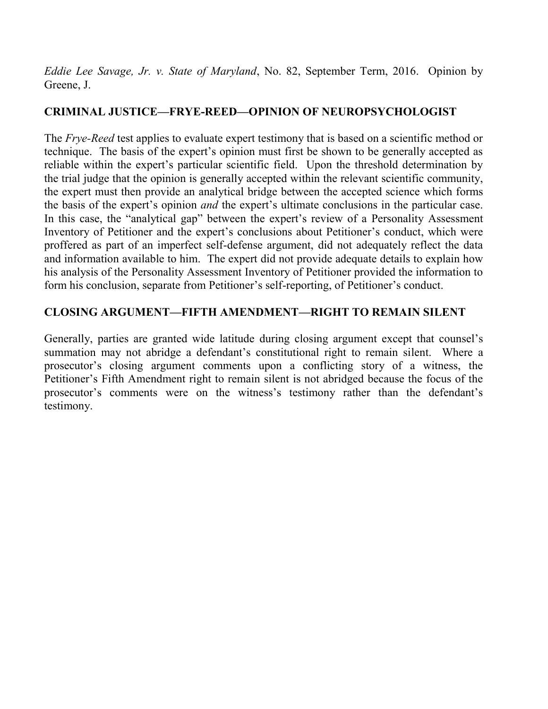*Eddie Lee Savage, Jr. v. State of Maryland*, No. 82, September Term, 2016. Opinion by Greene, J.

# **CRIMINAL JUSTICE—FRYE-REED—OPINION OF NEUROPSYCHOLOGIST**

The *Frye-Reed* test applies to evaluate expert testimony that is based on a scientific method or technique. The basis of the expert's opinion must first be shown to be generally accepted as reliable within the expert's particular scientific field. Upon the threshold determination by the trial judge that the opinion is generally accepted within the relevant scientific community, the expert must then provide an analytical bridge between the accepted science which forms the basis of the expert's opinion *and* the expert's ultimate conclusions in the particular case. In this case, the "analytical gap" between the expert's review of a Personality Assessment Inventory of Petitioner and the expert's conclusions about Petitioner's conduct, which were proffered as part of an imperfect self-defense argument, did not adequately reflect the data and information available to him. The expert did not provide adequate details to explain how his analysis of the Personality Assessment Inventory of Petitioner provided the information to form his conclusion, separate from Petitioner's self-reporting, of Petitioner's conduct.

# **CLOSING ARGUMENT—FIFTH AMENDMENT—RIGHT TO REMAIN SILENT**

Generally, parties are granted wide latitude during closing argument except that counsel's summation may not abridge a defendant's constitutional right to remain silent. Where a prosecutor's closing argument comments upon a conflicting story of a witness, the Petitioner's Fifth Amendment right to remain silent is not abridged because the focus of the prosecutor's comments were on the witness's testimony rather than the defendant's testimony.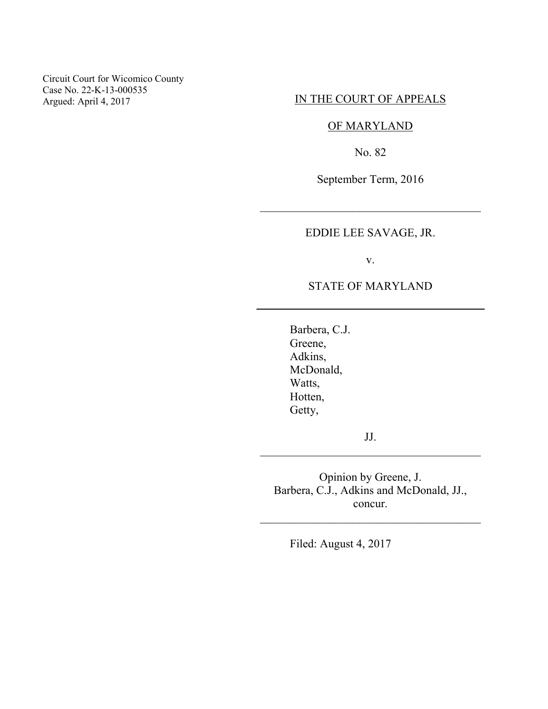Circuit Court for Wicomico County Case No. 22-K-13-000535 Argued: April 4, 2017

## IN THE COURT OF APPEALS

## OF MARYLAND

No. 82

September Term, 2016

\_\_\_\_\_\_\_\_\_\_\_\_\_\_\_\_\_\_\_\_\_\_\_\_\_\_\_\_\_\_\_\_\_\_\_\_\_\_

EDDIE LEE SAVAGE, JR.

v.

## STATE OF MARYLAND

Barbera, C.J. Greene, Adkins, McDonald, Watts, Hotten, Getty,

JJ. \_\_\_\_\_\_\_\_\_\_\_\_\_\_\_\_\_\_\_\_\_\_\_\_\_\_\_\_\_\_\_\_\_\_\_\_\_\_

Opinion by Greene, J. Barbera, C.J., Adkins and McDonald, JJ., concur.

\_\_\_\_\_\_\_\_\_\_\_\_\_\_\_\_\_\_\_\_\_\_\_\_\_\_\_\_\_\_\_\_\_\_\_\_\_\_

Filed: August 4, 2017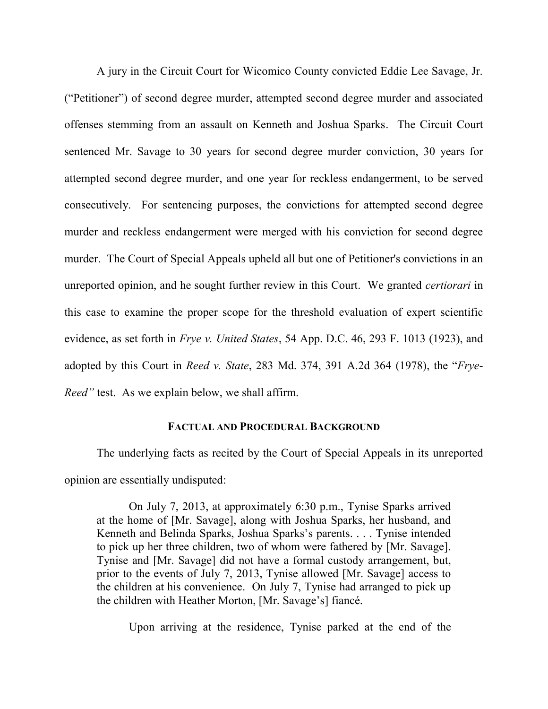A jury in the Circuit Court for Wicomico County convicted Eddie Lee Savage, Jr. ("Petitioner") of second degree murder, attempted second degree murder and associated offenses stemming from an assault on Kenneth and Joshua Sparks. The Circuit Court sentenced Mr. Savage to 30 years for second degree murder conviction, 30 years for attempted second degree murder, and one year for reckless endangerment, to be served consecutively. For sentencing purposes, the convictions for attempted second degree murder and reckless endangerment were merged with his conviction for second degree murder. The Court of Special Appeals upheld all but one of Petitioner's convictions in an unreported opinion, and he sought further review in this Court. We granted *certiorari* in this case to examine the proper scope for the threshold evaluation of expert scientific evidence, as set forth in *Frye v. United States*, 54 App. D.C. 46, 293 F. 1013 (1923), and adopted by this Court in *Reed v. State*, 283 Md. 374, 391 A.2d 364 (1978), the "*Frye-Reed"* test. As we explain below, we shall affirm.

#### **FACTUAL AND PROCEDURAL BACKGROUND**

The underlying facts as recited by the Court of Special Appeals in its unreported opinion are essentially undisputed:

On July 7, 2013, at approximately 6:30 p.m., Tynise Sparks arrived at the home of [Mr. Savage], along with Joshua Sparks, her husband, and Kenneth and Belinda Sparks, Joshua Sparks's parents. . . . Tynise intended to pick up her three children, two of whom were fathered by [Mr. Savage]. Tynise and [Mr. Savage] did not have a formal custody arrangement, but, prior to the events of July 7, 2013, Tynise allowed [Mr. Savage] access to the children at his convenience. On July 7, Tynise had arranged to pick up the children with Heather Morton, [Mr. Savage's] fiancé.

Upon arriving at the residence, Tynise parked at the end of the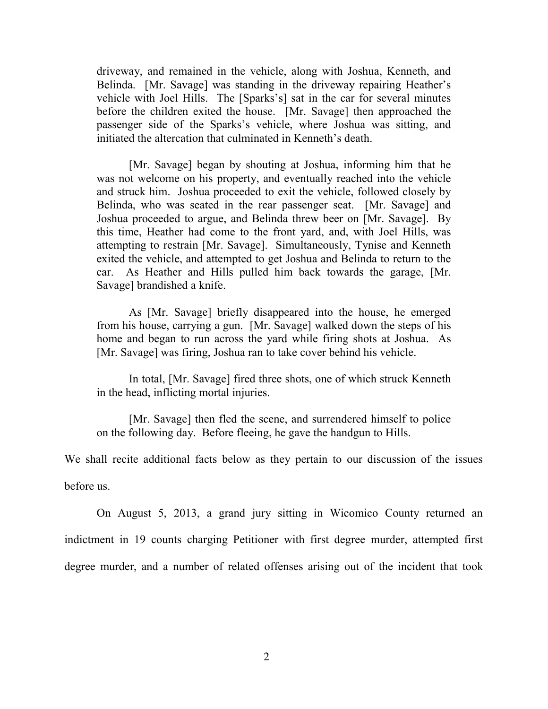driveway, and remained in the vehicle, along with Joshua, Kenneth, and Belinda. [Mr. Savage] was standing in the driveway repairing Heather's vehicle with Joel Hills. The [Sparks's] sat in the car for several minutes before the children exited the house. [Mr. Savage] then approached the passenger side of the Sparks's vehicle, where Joshua was sitting, and initiated the altercation that culminated in Kenneth's death.

 [Mr. Savage] began by shouting at Joshua, informing him that he was not welcome on his property, and eventually reached into the vehicle and struck him. Joshua proceeded to exit the vehicle, followed closely by Belinda, who was seated in the rear passenger seat. [Mr. Savage] and Joshua proceeded to argue, and Belinda threw beer on [Mr. Savage]. By this time, Heather had come to the front yard, and, with Joel Hills, was attempting to restrain [Mr. Savage]. Simultaneously, Tynise and Kenneth exited the vehicle, and attempted to get Joshua and Belinda to return to the car. As Heather and Hills pulled him back towards the garage, [Mr. Savage] brandished a knife.

As [Mr. Savage] briefly disappeared into the house, he emerged from his house, carrying a gun. [Mr. Savage] walked down the steps of his home and began to run across the yard while firing shots at Joshua. As [Mr. Savage] was firing, Joshua ran to take cover behind his vehicle.

In total, [Mr. Savage] fired three shots, one of which struck Kenneth in the head, inflicting mortal injuries.

 [Mr. Savage] then fled the scene, and surrendered himself to police on the following day. Before fleeing, he gave the handgun to Hills.

We shall recite additional facts below as they pertain to our discussion of the issues

before us.

 On August 5, 2013, a grand jury sitting in Wicomico County returned an indictment in 19 counts charging Petitioner with first degree murder, attempted first degree murder, and a number of related offenses arising out of the incident that took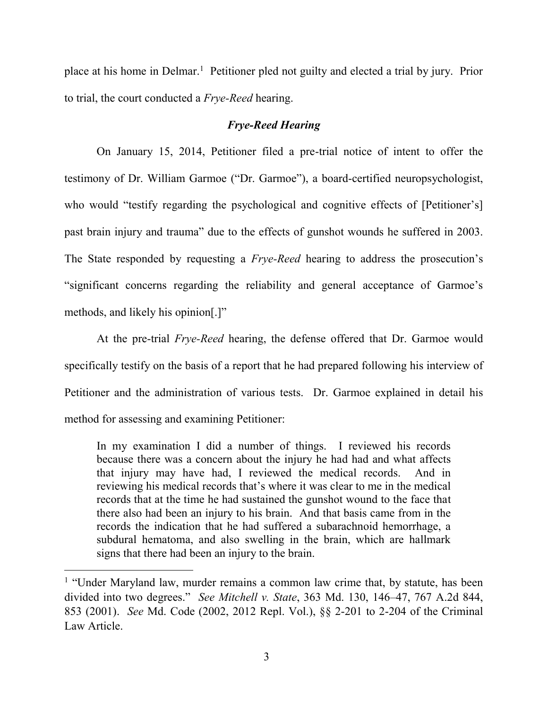place at his home in Delmar.<sup>1</sup> Petitioner pled not guilty and elected a trial by jury. Prior to trial, the court conducted a *Frye-Reed* hearing.

## *Frye-Reed Hearing*

 On January 15, 2014, Petitioner filed a pre-trial notice of intent to offer the testimony of Dr. William Garmoe ("Dr. Garmoe"), a board-certified neuropsychologist, who would "testify regarding the psychological and cognitive effects of [Petitioner's] past brain injury and trauma" due to the effects of gunshot wounds he suffered in 2003. The State responded by requesting a *Frye-Reed* hearing to address the prosecution's "significant concerns regarding the reliability and general acceptance of Garmoe's methods, and likely his opinion[.]"

 At the pre-trial *Frye-Reed* hearing, the defense offered that Dr. Garmoe would specifically testify on the basis of a report that he had prepared following his interview of Petitioner and the administration of various tests. Dr. Garmoe explained in detail his method for assessing and examining Petitioner:

In my examination I did a number of things. I reviewed his records because there was a concern about the injury he had had and what affects that injury may have had, I reviewed the medical records. And in reviewing his medical records that's where it was clear to me in the medical records that at the time he had sustained the gunshot wound to the face that there also had been an injury to his brain. And that basis came from in the records the indication that he had suffered a subarachnoid hemorrhage, a subdural hematoma, and also swelling in the brain, which are hallmark signs that there had been an injury to the brain.

<sup>&</sup>lt;sup>1</sup> "Under Maryland law, murder remains a common law crime that, by statute, has been divided into two degrees." *See Mitchell v. State*, 363 Md. 130, 146–47, 767 A.2d 844, 853 (2001). *See* Md. Code (2002, 2012 Repl. Vol.), §§ 2-201 to 2-204 of the Criminal Law Article.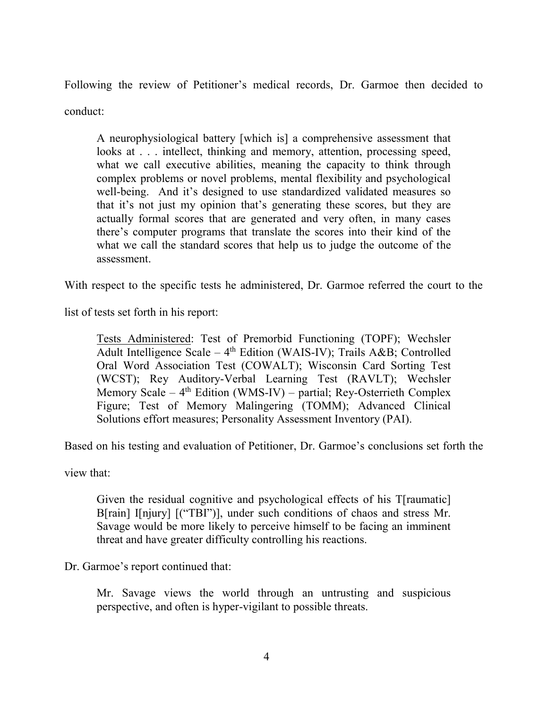Following the review of Petitioner's medical records, Dr. Garmoe then decided to conduct:

A neurophysiological battery [which is] a comprehensive assessment that looks at . . . intellect, thinking and memory, attention, processing speed, what we call executive abilities, meaning the capacity to think through complex problems or novel problems, mental flexibility and psychological well-being. And it's designed to use standardized validated measures so that it's not just my opinion that's generating these scores, but they are actually formal scores that are generated and very often, in many cases there's computer programs that translate the scores into their kind of the what we call the standard scores that help us to judge the outcome of the assessment.

With respect to the specific tests he administered, Dr. Garmoe referred the court to the

list of tests set forth in his report:

Tests Administered: Test of Premorbid Functioning (TOPF); Wechsler Adult Intelligence Scale –  $4<sup>th</sup>$  Edition (WAIS-IV); Trails A&B; Controlled Oral Word Association Test (COWALT); Wisconsin Card Sorting Test (WCST); Rey Auditory-Verbal Learning Test (RAVLT); Wechsler Memory Scale –  $4<sup>th</sup>$  Edition (WMS-IV) – partial; Rey-Osterrieth Complex Figure; Test of Memory Malingering (TOMM); Advanced Clinical Solutions effort measures; Personality Assessment Inventory (PAI).

Based on his testing and evaluation of Petitioner, Dr. Garmoe's conclusions set forth the

view that:

Given the residual cognitive and psychological effects of his T[raumatic] B[rain] I[njury] [("TBI")], under such conditions of chaos and stress Mr. Savage would be more likely to perceive himself to be facing an imminent threat and have greater difficulty controlling his reactions.

Dr. Garmoe's report continued that:

Mr. Savage views the world through an untrusting and suspicious perspective, and often is hyper-vigilant to possible threats.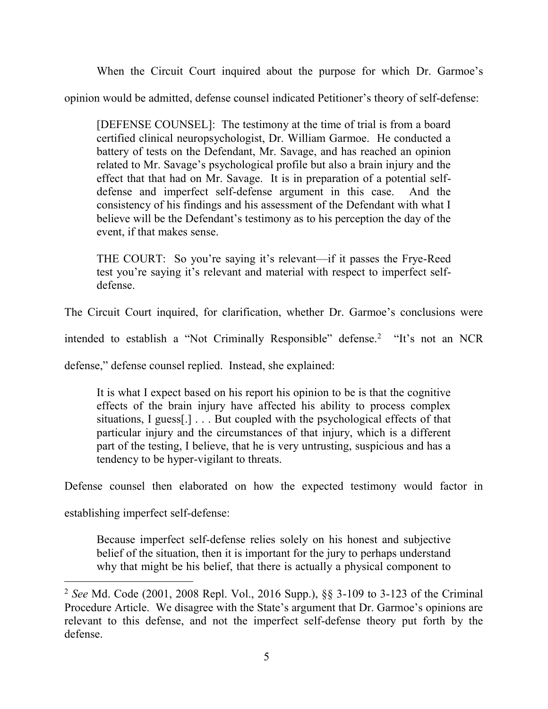When the Circuit Court inquired about the purpose for which Dr. Garmoe's

opinion would be admitted, defense counsel indicated Petitioner's theory of self-defense:

[DEFENSE COUNSEL]: The testimony at the time of trial is from a board certified clinical neuropsychologist, Dr. William Garmoe. He conducted a battery of tests on the Defendant, Mr. Savage, and has reached an opinion related to Mr. Savage's psychological profile but also a brain injury and the effect that that had on Mr. Savage. It is in preparation of a potential selfdefense and imperfect self-defense argument in this case. And the consistency of his findings and his assessment of the Defendant with what I believe will be the Defendant's testimony as to his perception the day of the event, if that makes sense.

THE COURT: So you're saying it's relevant—if it passes the Frye-Reed test you're saying it's relevant and material with respect to imperfect selfdefense.

The Circuit Court inquired, for clarification, whether Dr. Garmoe's conclusions were

intended to establish a "Not Criminally Responsible" defense.<sup>2</sup> "It's not an NCR

defense," defense counsel replied. Instead, she explained:

It is what I expect based on his report his opinion to be is that the cognitive effects of the brain injury have affected his ability to process complex situations, I guess[.] . . . But coupled with the psychological effects of that particular injury and the circumstances of that injury, which is a different part of the testing, I believe, that he is very untrusting, suspicious and has a tendency to be hyper-vigilant to threats.

Defense counsel then elaborated on how the expected testimony would factor in

establishing imperfect self-defense:

 $\overline{a}$ 

Because imperfect self-defense relies solely on his honest and subjective belief of the situation, then it is important for the jury to perhaps understand why that might be his belief, that there is actually a physical component to

<sup>2</sup> *See* Md. Code (2001, 2008 Repl. Vol., 2016 Supp.), §§ 3-109 to 3-123 of the Criminal Procedure Article. We disagree with the State's argument that Dr. Garmoe's opinions are relevant to this defense, and not the imperfect self-defense theory put forth by the defense.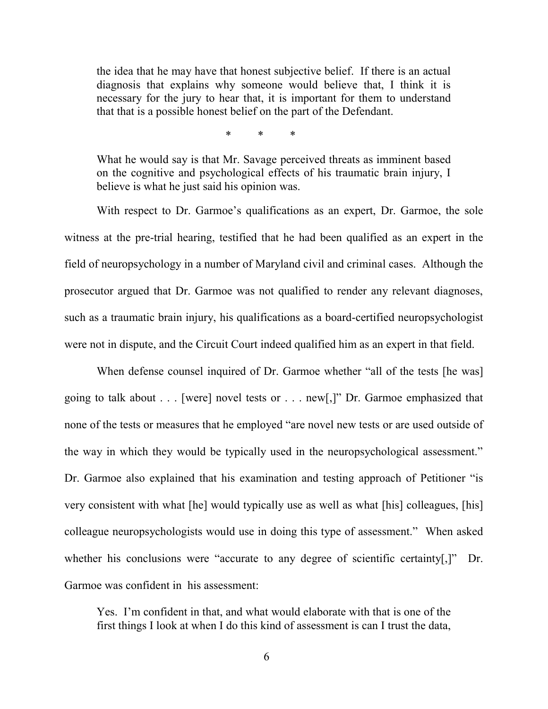the idea that he may have that honest subjective belief. If there is an actual diagnosis that explains why someone would believe that, I think it is necessary for the jury to hear that, it is important for them to understand that that is a possible honest belief on the part of the Defendant.

\* \* \*

What he would say is that Mr. Savage perceived threats as imminent based on the cognitive and psychological effects of his traumatic brain injury, I believe is what he just said his opinion was.

 With respect to Dr. Garmoe's qualifications as an expert, Dr. Garmoe, the sole witness at the pre-trial hearing, testified that he had been qualified as an expert in the field of neuropsychology in a number of Maryland civil and criminal cases. Although the prosecutor argued that Dr. Garmoe was not qualified to render any relevant diagnoses, such as a traumatic brain injury, his qualifications as a board-certified neuropsychologist were not in dispute, and the Circuit Court indeed qualified him as an expert in that field.

When defense counsel inquired of Dr. Garmoe whether "all of the tests [he was] going to talk about . . . [were] novel tests or . . . new[,]" Dr. Garmoe emphasized that none of the tests or measures that he employed "are novel new tests or are used outside of the way in which they would be typically used in the neuropsychological assessment." Dr. Garmoe also explained that his examination and testing approach of Petitioner "is very consistent with what [he] would typically use as well as what [his] colleagues, [his] colleague neuropsychologists would use in doing this type of assessment." When asked whether his conclusions were "accurate to any degree of scientific certainty[,]" Dr. Garmoe was confident in his assessment:

Yes. I'm confident in that, and what would elaborate with that is one of the first things I look at when I do this kind of assessment is can I trust the data,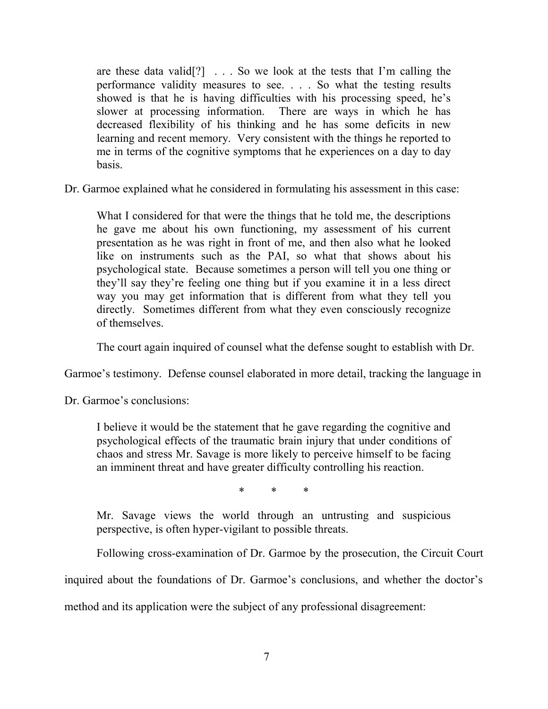are these data valid[?] . . . So we look at the tests that I'm calling the performance validity measures to see. . . . So what the testing results showed is that he is having difficulties with his processing speed, he's slower at processing information. There are ways in which he has decreased flexibility of his thinking and he has some deficits in new learning and recent memory. Very consistent with the things he reported to me in terms of the cognitive symptoms that he experiences on a day to day basis.

Dr. Garmoe explained what he considered in formulating his assessment in this case:

What I considered for that were the things that he told me, the descriptions he gave me about his own functioning, my assessment of his current presentation as he was right in front of me, and then also what he looked like on instruments such as the PAI, so what that shows about his psychological state. Because sometimes a person will tell you one thing or they'll say they're feeling one thing but if you examine it in a less direct way you may get information that is different from what they tell you directly. Sometimes different from what they even consciously recognize of themselves.

The court again inquired of counsel what the defense sought to establish with Dr.

Garmoe's testimony. Defense counsel elaborated in more detail, tracking the language in

Dr. Garmoe's conclusions:

I believe it would be the statement that he gave regarding the cognitive and psychological effects of the traumatic brain injury that under conditions of chaos and stress Mr. Savage is more likely to perceive himself to be facing an imminent threat and have greater difficulty controlling his reaction.

\* \* \*

Mr. Savage views the world through an untrusting and suspicious perspective, is often hyper-vigilant to possible threats.

Following cross-examination of Dr. Garmoe by the prosecution, the Circuit Court

inquired about the foundations of Dr. Garmoe's conclusions, and whether the doctor's

method and its application were the subject of any professional disagreement: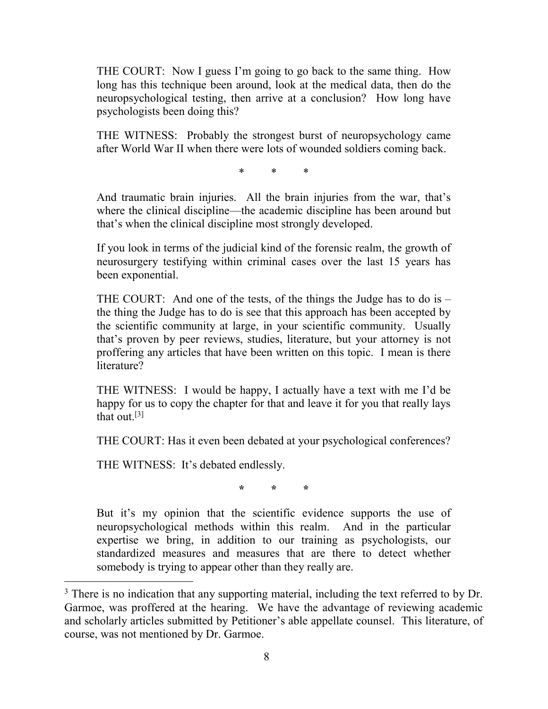THE COURT: Now I guess I'm going to go back to the same thing. How long has this technique been around, look at the medical data, then do the neuropsychological testing, then arrive at a conclusion? How long have psychologists been doing this?

THE WITNESS: Probably the strongest burst of neuropsychology came after World War II when there were lots of wounded soldiers coming back.

\* \* \*

And traumatic brain injuries. All the brain injuries from the war, that's where the clinical discipline—the academic discipline has been around but that's when the clinical discipline most strongly developed.

If you look in terms of the judicial kind of the forensic realm, the growth of neurosurgery testifying within criminal cases over the last 15 years has been exponential.

THE COURT: And one of the tests, of the things the Judge has to do is – the thing the Judge has to do is see that this approach has been accepted by the scientific community at large, in your scientific community. Usually that's proven by peer reviews, studies, literature, but your attorney is not proffering any articles that have been written on this topic. I mean is there literature?

THE WITNESS: I would be happy, I actually have a text with me I'd be happy for us to copy the chapter for that and leave it for you that really lays that out  $[3]$ 

THE COURT: Has it even been debated at your psychological conferences?

THE WITNESS: It's debated endlessly.

 $\overline{a}$ 

**\* \* \*** 

But it's my opinion that the scientific evidence supports the use of neuropsychological methods within this realm. And in the particular expertise we bring, in addition to our training as psychologists, our standardized measures and measures that are there to detect whether somebody is trying to appear other than they really are.

<sup>&</sup>lt;sup>3</sup> There is no indication that any supporting material, including the text referred to by Dr. Garmoe, was proffered at the hearing. We have the advantage of reviewing academic and scholarly articles submitted by Petitioner's able appellate counsel. This literature, of course, was not mentioned by Dr. Garmoe.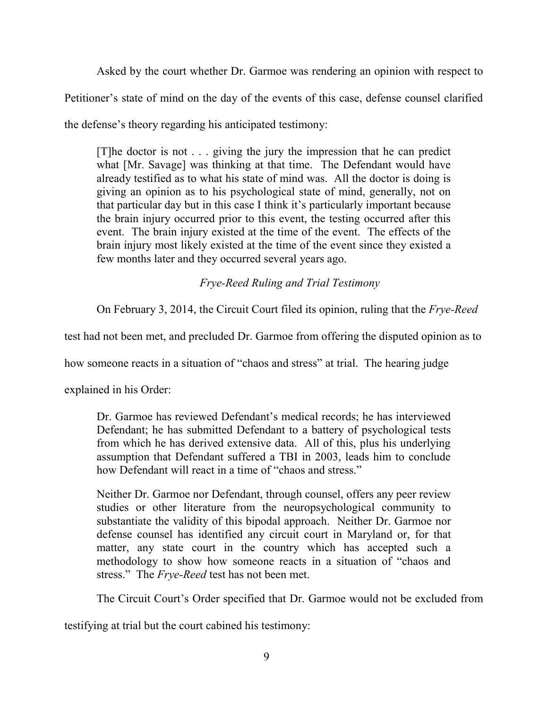Asked by the court whether Dr. Garmoe was rendering an opinion with respect to

Petitioner's state of mind on the day of the events of this case, defense counsel clarified

the defense's theory regarding his anticipated testimony:

[T]he doctor is not . . . giving the jury the impression that he can predict what [Mr. Savage] was thinking at that time. The Defendant would have already testified as to what his state of mind was. All the doctor is doing is giving an opinion as to his psychological state of mind, generally, not on that particular day but in this case I think it's particularly important because the brain injury occurred prior to this event, the testing occurred after this event. The brain injury existed at the time of the event. The effects of the brain injury most likely existed at the time of the event since they existed a few months later and they occurred several years ago.

*Frye-Reed Ruling and Trial Testimony* 

On February 3, 2014, the Circuit Court filed its opinion, ruling that the *Frye-Reed*

test had not been met, and precluded Dr. Garmoe from offering the disputed opinion as to

how someone reacts in a situation of "chaos and stress" at trial. The hearing judge

explained in his Order:

Dr. Garmoe has reviewed Defendant's medical records; he has interviewed Defendant; he has submitted Defendant to a battery of psychological tests from which he has derived extensive data. All of this, plus his underlying assumption that Defendant suffered a TBI in 2003, leads him to conclude how Defendant will react in a time of "chaos and stress."

Neither Dr. Garmoe nor Defendant, through counsel, offers any peer review studies or other literature from the neuropsychological community to substantiate the validity of this bipodal approach. Neither Dr. Garmoe nor defense counsel has identified any circuit court in Maryland or, for that matter, any state court in the country which has accepted such a methodology to show how someone reacts in a situation of "chaos and stress." The *Frye-Reed* test has not been met.

The Circuit Court's Order specified that Dr. Garmoe would not be excluded from

testifying at trial but the court cabined his testimony: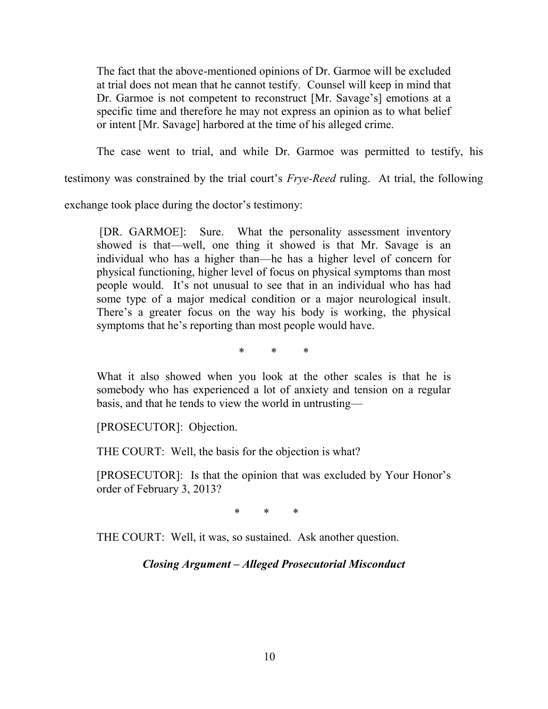The fact that the above-mentioned opinions of Dr. Garmoe will be excluded at trial does not mean that he cannot testify. Counsel will keep in mind that Dr. Garmoe is not competent to reconstruct [Mr. Savage's] emotions at a specific time and therefore he may not express an opinion as to what belief or intent [Mr. Savage] harbored at the time of his alleged crime.

The case went to trial, and while Dr. Garmoe was permitted to testify, his

testimony was constrained by the trial court's *Frye-Reed* ruling.At trial, the following

exchange took place during the doctor's testimony:

[DR. GARMOE]: Sure. What the personality assessment inventory showed is that—well, one thing it showed is that Mr. Savage is an individual who has a higher than—he has a higher level of concern for physical functioning, higher level of focus on physical symptoms than most people would. It's not unusual to see that in an individual who has had some type of a major medical condition or a major neurological insult. There's a greater focus on the way his body is working, the physical symptoms that he's reporting than most people would have.

\* \* \*

What it also showed when you look at the other scales is that he is somebody who has experienced a lot of anxiety and tension on a regular basis, and that he tends to view the world in untrusting—

[PROSECUTOR]: Objection.

THE COURT: Well, the basis for the objection is what?

[PROSECUTOR]: Is that the opinion that was excluded by Your Honor's order of February 3, 2013?

 $\begin{array}{ccc} \ast & \ast & \ast \\ \end{array}$ 

THE COURT: Well, it was, so sustained. Ask another question.

## *Closing Argument – Alleged Prosecutorial Misconduct*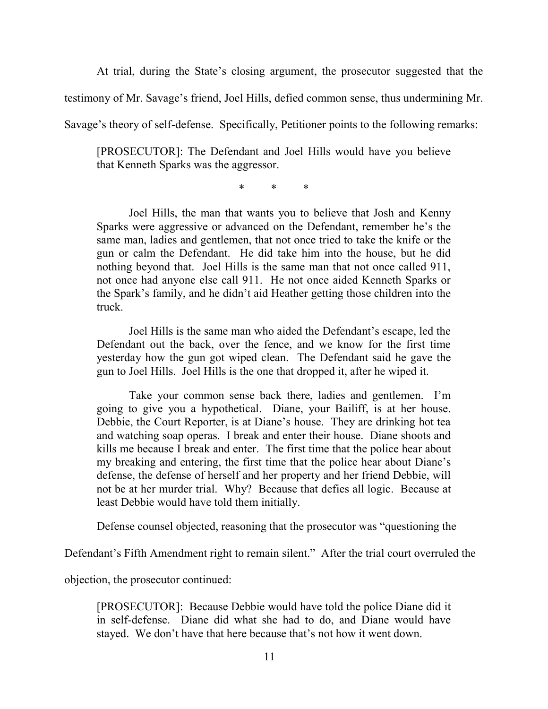At trial, during the State's closing argument, the prosecutor suggested that the

testimony of Mr. Savage's friend, Joel Hills, defied common sense, thus undermining Mr.

Savage's theory of self-defense. Specifically, Petitioner points to the following remarks:

[PROSECUTOR]: The Defendant and Joel Hills would have you believe that Kenneth Sparks was the aggressor.

\* \* \*

 Joel Hills, the man that wants you to believe that Josh and Kenny Sparks were aggressive or advanced on the Defendant, remember he's the same man, ladies and gentlemen, that not once tried to take the knife or the gun or calm the Defendant. He did take him into the house, but he did nothing beyond that. Joel Hills is the same man that not once called 911, not once had anyone else call 911. He not once aided Kenneth Sparks or the Spark's family, and he didn't aid Heather getting those children into the truck.

 Joel Hills is the same man who aided the Defendant's escape, led the Defendant out the back, over the fence, and we know for the first time yesterday how the gun got wiped clean. The Defendant said he gave the gun to Joel Hills. Joel Hills is the one that dropped it, after he wiped it.

 Take your common sense back there, ladies and gentlemen. I'm going to give you a hypothetical. Diane, your Bailiff, is at her house. Debbie, the Court Reporter, is at Diane's house. They are drinking hot tea and watching soap operas. I break and enter their house. Diane shoots and kills me because I break and enter. The first time that the police hear about my breaking and entering, the first time that the police hear about Diane's defense, the defense of herself and her property and her friend Debbie, will not be at her murder trial. Why? Because that defies all logic. Because at least Debbie would have told them initially.

Defense counsel objected, reasoning that the prosecutor was "questioning the

Defendant's Fifth Amendment right to remain silent." After the trial court overruled the

objection, the prosecutor continued:

[PROSECUTOR]: Because Debbie would have told the police Diane did it in self-defense. Diane did what she had to do, and Diane would have stayed. We don't have that here because that's not how it went down.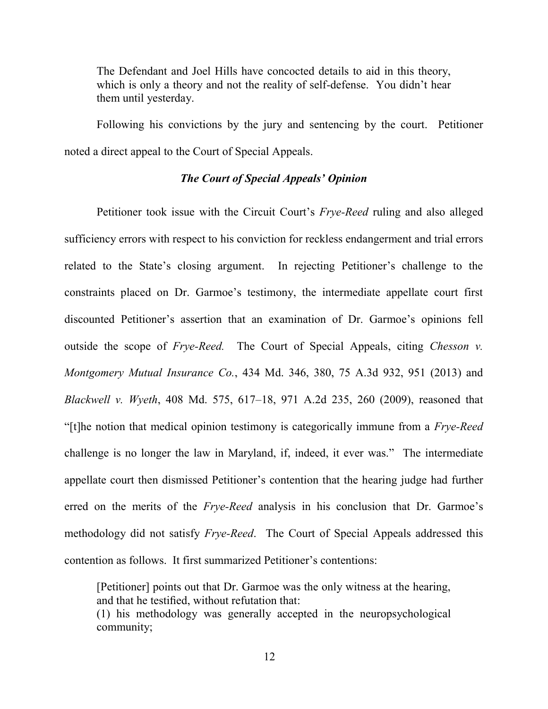The Defendant and Joel Hills have concocted details to aid in this theory, which is only a theory and not the reality of self-defense. You didn't hear them until yesterday.

Following his convictions by the jury and sentencing by the court. Petitioner noted a direct appeal to the Court of Special Appeals.

## *The Court of Special Appeals' Opinion*

 Petitioner took issue with the Circuit Court's *Frye-Reed* ruling and also alleged sufficiency errors with respect to his conviction for reckless endangerment and trial errors related to the State's closing argument. In rejecting Petitioner's challenge to the constraints placed on Dr. Garmoe's testimony, the intermediate appellate court first discounted Petitioner's assertion that an examination of Dr. Garmoe's opinions fell outside the scope of *Frye-Reed.* The Court of Special Appeals, citing *Chesson v. Montgomery Mutual Insurance Co.*, 434 Md. 346, 380, 75 A.3d 932, 951 (2013) and *Blackwell v. Wyeth*, 408 Md. 575, 617–18, 971 A.2d 235, 260 (2009), reasoned that "[t]he notion that medical opinion testimony is categorically immune from a *Frye-Reed* challenge is no longer the law in Maryland, if, indeed, it ever was." The intermediate appellate court then dismissed Petitioner's contention that the hearing judge had further erred on the merits of the *Frye-Reed* analysis in his conclusion that Dr. Garmoe's methodology did not satisfy *Frye-Reed*. The Court of Special Appeals addressed this contention as follows. It first summarized Petitioner's contentions:

[Petitioner] points out that Dr. Garmoe was the only witness at the hearing, and that he testified, without refutation that: (1) his methodology was generally accepted in the neuropsychological

community;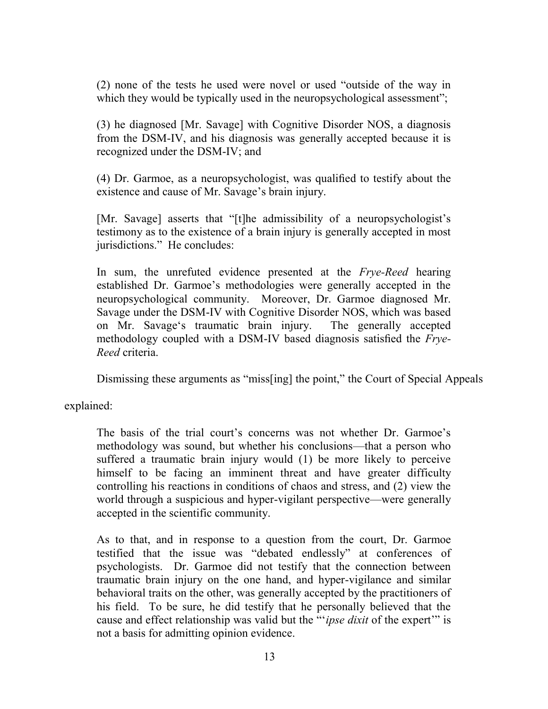(2) none of the tests he used were novel or used "outside of the way in which they would be typically used in the neuropsychological assessment";

(3) he diagnosed [Mr. Savage] with Cognitive Disorder NOS, a diagnosis from the DSM-IV, and his diagnosis was generally accepted because it is recognized under the DSM-IV; and

(4) Dr. Garmoe, as a neuropsychologist, was qualified to testify about the existence and cause of Mr. Savage's brain injury.

[Mr. Savage] asserts that "[t]he admissibility of a neuropsychologist's testimony as to the existence of a brain injury is generally accepted in most jurisdictions." He concludes:

In sum, the unrefuted evidence presented at the *Frye-Reed* hearing established Dr. Garmoe's methodologies were generally accepted in the neuropsychological community. Moreover, Dr. Garmoe diagnosed Mr. Savage under the DSM-IV with Cognitive Disorder NOS, which was based on Mr. Savage's traumatic brain injury. The generally accepted methodology coupled with a DSM-IV based diagnosis satisfied the *Frye-Reed* criteria.

Dismissing these arguments as "miss[ing] the point," the Court of Special Appeals

explained:

The basis of the trial court's concerns was not whether Dr. Garmoe's methodology was sound, but whether his conclusions—that a person who suffered a traumatic brain injury would (1) be more likely to perceive himself to be facing an imminent threat and have greater difficulty controlling his reactions in conditions of chaos and stress, and (2) view the world through a suspicious and hyper-vigilant perspective—were generally accepted in the scientific community.

As to that, and in response to a question from the court, Dr. Garmoe testified that the issue was "debated endlessly" at conferences of psychologists. Dr. Garmoe did not testify that the connection between traumatic brain injury on the one hand, and hyper-vigilance and similar behavioral traits on the other, was generally accepted by the practitioners of his field. To be sure, he did testify that he personally believed that the cause and effect relationship was valid but the "'*ipse dixit* of the expert'" is not a basis for admitting opinion evidence.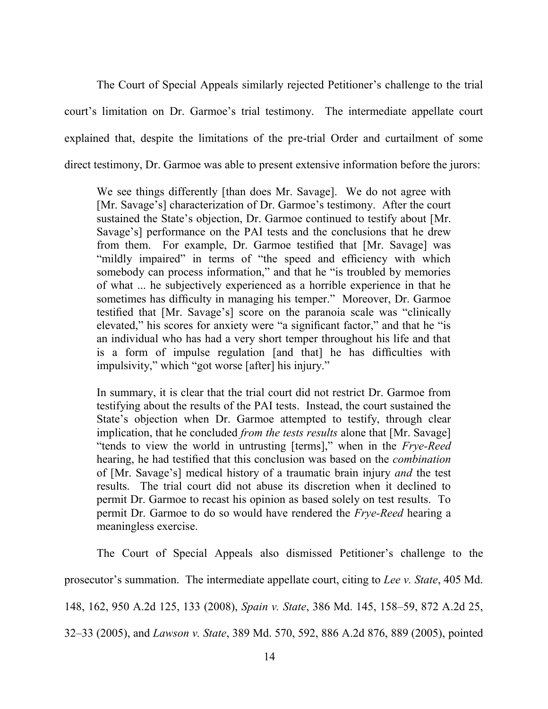The Court of Special Appeals similarly rejected Petitioner's challenge to the trial court's limitation on Dr. Garmoe's trial testimony. The intermediate appellate court explained that, despite the limitations of the pre-trial Order and curtailment of some direct testimony, Dr. Garmoe was able to present extensive information before the jurors:

We see things differently [than does Mr. Savage]. We do not agree with [Mr. Savage's] characterization of Dr. Garmoe's testimony. After the court sustained the State's objection, Dr. Garmoe continued to testify about [Mr. Savage's] performance on the PAI tests and the conclusions that he drew from them. For example, Dr. Garmoe testified that [Mr. Savage] was "mildly impaired" in terms of "the speed and efficiency with which somebody can process information," and that he "is troubled by memories of what ... he subjectively experienced as a horrible experience in that he sometimes has difficulty in managing his temper." Moreover, Dr. Garmoe testified that [Mr. Savage's] score on the paranoia scale was "clinically elevated," his scores for anxiety were "a significant factor," and that he "is an individual who has had a very short temper throughout his life and that is a form of impulse regulation [and that] he has difficulties with impulsivity," which "got worse [after] his injury."

In summary, it is clear that the trial court did not restrict Dr. Garmoe from testifying about the results of the PAI tests. Instead, the court sustained the State's objection when Dr. Garmoe attempted to testify, through clear implication, that he concluded *from the tests results* alone that [Mr. Savage] "tends to view the world in untrusting [terms]," when in the *Frye-Reed* hearing, he had testified that this conclusion was based on the *combination* of [Mr. Savage's] medical history of a traumatic brain injury *and* the test results. The trial court did not abuse its discretion when it declined to permit Dr. Garmoe to recast his opinion as based solely on test results. To permit Dr. Garmoe to do so would have rendered the *Frye-Reed* hearing a meaningless exercise.

 The Court of Special Appeals also dismissed Petitioner's challenge to the prosecutor's summation. The intermediate appellate court, citing to *Lee v. State*, 405 Md. 148, 162, 950 A.2d 125, 133 (2008), *Spain v. State*, 386 Md. 145, 158–59, 872 A.2d 25, 32–33 (2005), and *Lawson v. State*, 389 Md. 570, 592, 886 A.2d 876, 889 (2005), pointed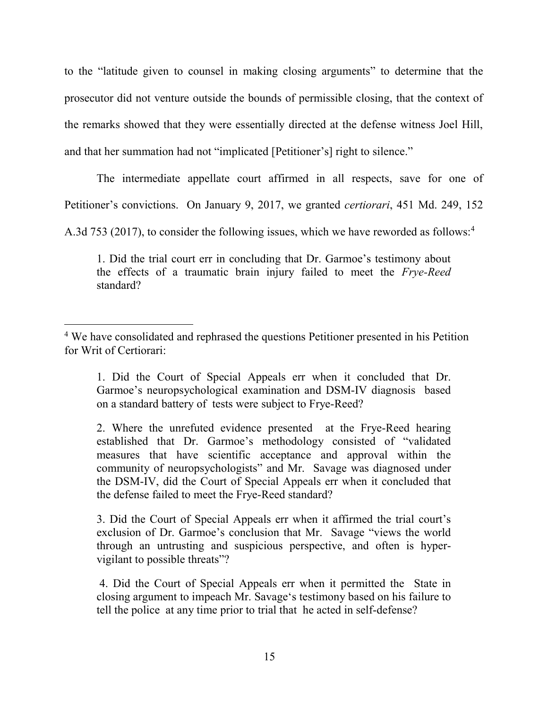to the "latitude given to counsel in making closing arguments" to determine that the prosecutor did not venture outside the bounds of permissible closing, that the context of the remarks showed that they were essentially directed at the defense witness Joel Hill, and that her summation had not "implicated [Petitioner's] right to silence."

The intermediate appellate court affirmed in all respects, save for one of

Petitioner's convictions. On January 9, 2017, we granted *certiorari*, 451 Md. 249, 152

A.3d 753 (2017), to consider the following issues, which we have reworded as follows:<sup>4</sup>

1. Did the trial court err in concluding that Dr. Garmoe's testimony about the effects of a traumatic brain injury failed to meet the *Frye-Reed*  standard?

3. Did the Court of Special Appeals err when it affirmed the trial court's exclusion of Dr. Garmoe's conclusion that Mr. Savage "views the world through an untrusting and suspicious perspective, and often is hypervigilant to possible threats"?

4. Did the Court of Special Appeals err when it permitted the State in closing argument to impeach Mr. Savage's testimony based on his failure to tell the police at any time prior to trial that he acted in self-defense?

 $\overline{a}$ <sup>4</sup> We have consolidated and rephrased the questions Petitioner presented in his Petition for Writ of Certiorari:

<sup>1.</sup> Did the Court of Special Appeals err when it concluded that Dr. Garmoe's neuropsychological examination and DSM-IV diagnosis based on a standard battery of tests were subject to Frye-Reed?

<sup>2.</sup> Where the unrefuted evidence presented at the Frye-Reed hearing established that Dr. Garmoe's methodology consisted of "validated measures that have scientific acceptance and approval within the community of neuropsychologists" and Mr. Savage was diagnosed under the DSM-IV, did the Court of Special Appeals err when it concluded that the defense failed to meet the Frye-Reed standard?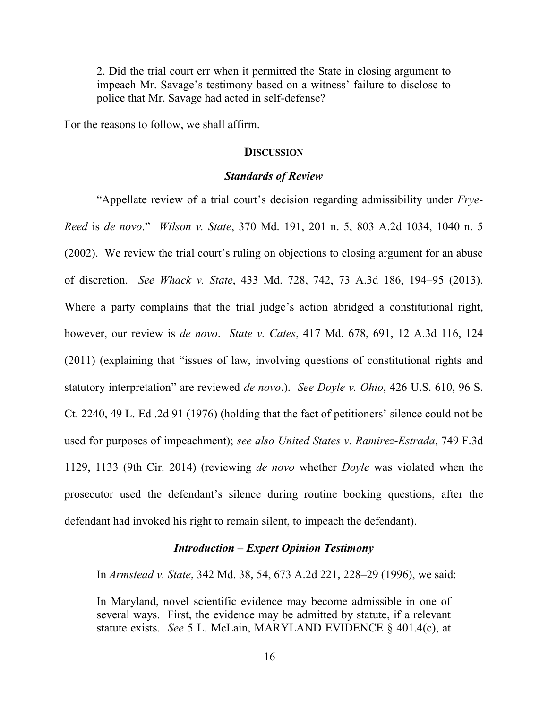2. Did the trial court err when it permitted the State in closing argument to impeach Mr. Savage's testimony based on a witness' failure to disclose to police that Mr. Savage had acted in self-defense?

For the reasons to follow, we shall affirm.

#### **DISCUSSION**

#### *Standards of Review*

 "Appellate review of a trial court's decision regarding admissibility under *Frye-Reed* is *de novo*." *Wilson v. State*, 370 Md. 191, 201 n. 5, 803 A.2d 1034, 1040 n. 5 (2002). We review the trial court's ruling on objections to closing argument for an abuse of discretion. *See Whack v. State*, 433 Md. 728, 742, 73 A.3d 186, 194–95 (2013). Where a party complains that the trial judge's action abridged a constitutional right, however, our review is *de novo*. *State v. Cates*, 417 Md. 678, 691, 12 A.3d 116, 124 (2011) (explaining that "issues of law, involving questions of constitutional rights and statutory interpretation" are reviewed *de novo*.). *See Doyle v. Ohio*, 426 U.S. 610, 96 S. Ct. 2240, 49 L. Ed .2d 91 (1976) (holding that the fact of petitioners' silence could not be used for purposes of impeachment); *see also United States v. Ramirez-Estrada*, 749 F.3d 1129, 1133 (9th Cir. 2014) (reviewing *de novo* whether *Doyle* was violated when the prosecutor used the defendant's silence during routine booking questions, after the defendant had invoked his right to remain silent, to impeach the defendant).

### *Introduction – Expert Opinion Testimony*

In *Armstead v. State*, 342 Md. 38, 54, 673 A.2d 221, 228–29 (1996), we said:

In Maryland, novel scientific evidence may become admissible in one of several ways. First, the evidence may be admitted by statute, if a relevant statute exists. *See* 5 L. McLain, MARYLAND EVIDENCE § 401.4(c), at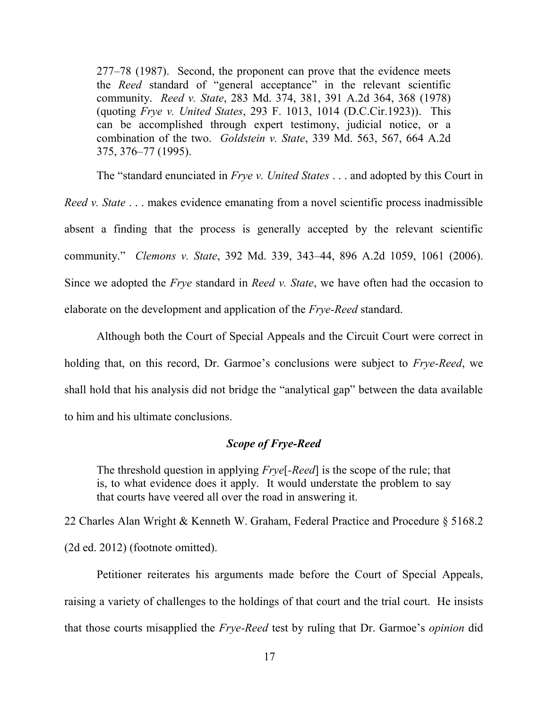277–78 (1987). Second, the proponent can prove that the evidence meets the *Reed* standard of "general acceptance" in the relevant scientific community. *Reed v. State*, 283 Md. 374, 381, 391 A.2d 364, 368 (1978) (quoting *Frye v. United States*, 293 F. 1013, 1014 (D.C.Cir.1923)). This can be accomplished through expert testimony, judicial notice, or a combination of the two. *Goldstein v. State*, 339 Md. 563, 567, 664 A.2d 375, 376–77 (1995).

The "standard enunciated in *Frye v. United States* . . . and adopted by this Court in *Reed v. State* . . . makes evidence emanating from a novel scientific process inadmissible absent a finding that the process is generally accepted by the relevant scientific community." *Clemons v. State*, 392 Md. 339, 343–44, 896 A.2d 1059, 1061 (2006). Since we adopted the *Frye* standard in *Reed v. State*, we have often had the occasion to elaborate on the development and application of the *Frye-Reed* standard.

Although both the Court of Special Appeals and the Circuit Court were correct in holding that, on this record, Dr. Garmoe's conclusions were subject to *Frye-Reed*, we shall hold that his analysis did not bridge the "analytical gap" between the data available to him and his ultimate conclusions.

## *Scope of Frye-Reed*

The threshold question in applying *Frye*[*-Reed*] is the scope of the rule; that is, to what evidence does it apply. It would understate the problem to say that courts have veered all over the road in answering it.

22 Charles Alan Wright & Kenneth W. Graham, Federal Practice and Procedure § 5168.2 (2d ed. 2012) (footnote omitted).

 Petitioner reiterates his arguments made before the Court of Special Appeals, raising a variety of challenges to the holdings of that court and the trial court. He insists that those courts misapplied the *Frye-Reed* test by ruling that Dr. Garmoe's *opinion* did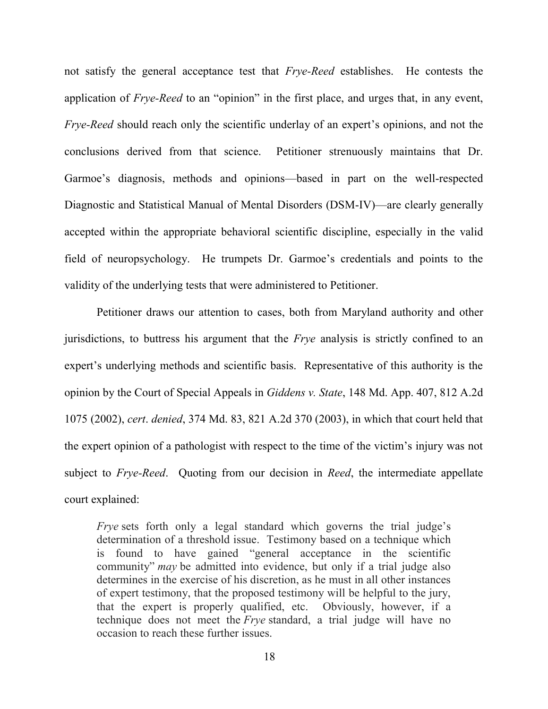not satisfy the general acceptance test that *Frye-Reed* establishes. He contests the application of *Frye-Reed* to an "opinion" in the first place, and urges that, in any event, *Frye-Reed* should reach only the scientific underlay of an expert's opinions, and not the conclusions derived from that science. Petitioner strenuously maintains that Dr. Garmoe's diagnosis, methods and opinions—based in part on the well-respected Diagnostic and Statistical Manual of Mental Disorders (DSM-IV)—are clearly generally accepted within the appropriate behavioral scientific discipline, especially in the valid field of neuropsychology. He trumpets Dr. Garmoe's credentials and points to the validity of the underlying tests that were administered to Petitioner.

 Petitioner draws our attention to cases, both from Maryland authority and other jurisdictions, to buttress his argument that the *Frye* analysis is strictly confined to an expert's underlying methods and scientific basis. Representative of this authority is the opinion by the Court of Special Appeals in *Giddens v. State*, 148 Md. App. 407, 812 A.2d 1075 (2002), *cert*. *denied*, 374 Md. 83, 821 A.2d 370 (2003), in which that court held that the expert opinion of a pathologist with respect to the time of the victim's injury was not subject to *Frye-Reed*. Quoting from our decision in *Reed*, the intermediate appellate court explained:

*Frye* sets forth only a legal standard which governs the trial judge's determination of a threshold issue. Testimony based on a technique which is found to have gained "general acceptance in the scientific community" *may* be admitted into evidence, but only if a trial judge also determines in the exercise of his discretion, as he must in all other instances of expert testimony, that the proposed testimony will be helpful to the jury, that the expert is properly qualified, etc. Obviously, however, if a technique does not meet the *Frye* standard, a trial judge will have no occasion to reach these further issues.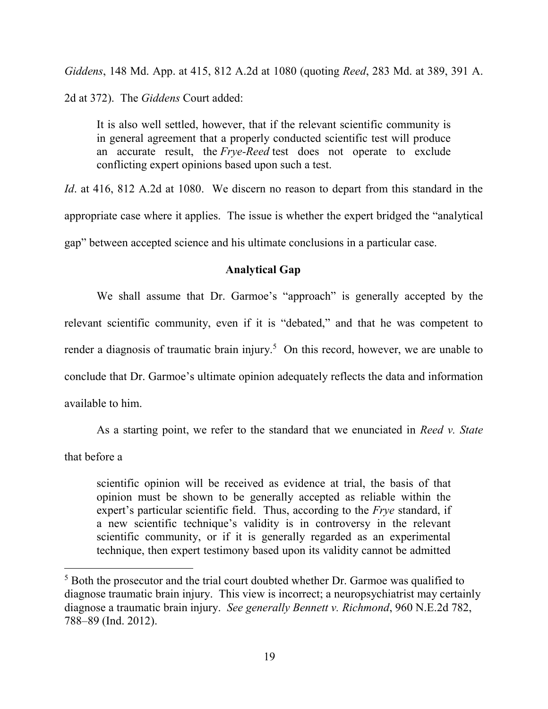*Giddens*, 148 Md. App. at 415, 812 A.2d at 1080 (quoting *Reed*, 283 Md. at 389, 391 A. 2d at 372). The *Giddens* Court added:

It is also well settled, however, that if the relevant scientific community is in general agreement that a properly conducted scientific test will produce an accurate result, the *Frye-Reed* test does not operate to exclude conflicting expert opinions based upon such a test.

*Id*. at 416, 812 A.2d at 1080. We discern no reason to depart from this standard in the appropriate case where it applies. The issue is whether the expert bridged the "analytical gap" between accepted science and his ultimate conclusions in a particular case.

### **Analytical Gap**

We shall assume that Dr. Garmoe's "approach" is generally accepted by the relevant scientific community, even if it is "debated," and that he was competent to render a diagnosis of traumatic brain injury.<sup>5</sup> On this record, however, we are unable to conclude that Dr. Garmoe's ultimate opinion adequately reflects the data and information available to him.

As a starting point, we refer to the standard that we enunciated in *Reed v. State*

that before a

 $\overline{a}$ 

scientific opinion will be received as evidence at trial, the basis of that opinion must be shown to be generally accepted as reliable within the expert's particular scientific field. Thus, according to the *Frye* standard, if a new scientific technique's validity is in controversy in the relevant scientific community, or if it is generally regarded as an experimental technique, then expert testimony based upon its validity cannot be admitted

<sup>5</sup> Both the prosecutor and the trial court doubted whether Dr. Garmoe was qualified to diagnose traumatic brain injury. This view is incorrect; a neuropsychiatrist may certainly diagnose a traumatic brain injury. *See generally Bennett v. Richmond*, 960 N.E.2d 782, 788–89 (Ind. 2012).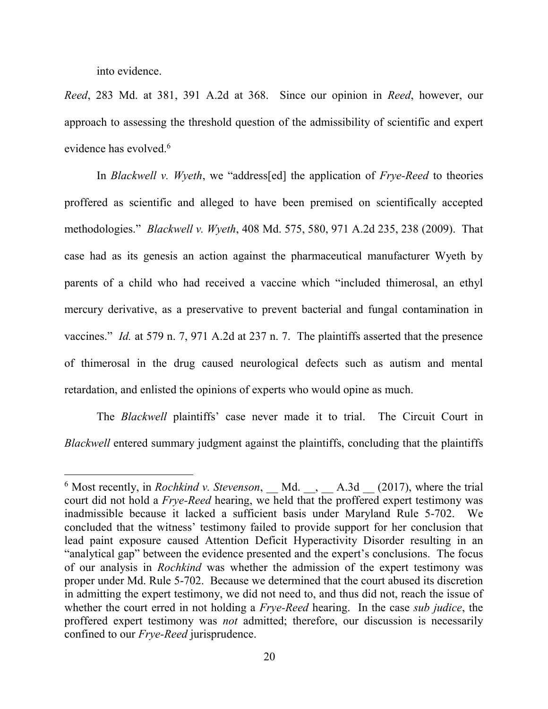into evidence.

 $\overline{a}$ 

*Reed*, 283 Md. at 381, 391 A.2d at 368. Since our opinion in *Reed*, however, our approach to assessing the threshold question of the admissibility of scientific and expert evidence has evolved.<sup>6</sup>

In *Blackwell v. Wyeth*, we "address[ed] the application of *Frye-Reed* to theories proffered as scientific and alleged to have been premised on scientifically accepted methodologies." *Blackwell v. Wyeth*, 408 Md. 575, 580, 971 A.2d 235, 238 (2009). That case had as its genesis an action against the pharmaceutical manufacturer Wyeth by parents of a child who had received a vaccine which "included thimerosal, an ethyl mercury derivative, as a preservative to prevent bacterial and fungal contamination in vaccines." *Id.* at 579 n. 7, 971 A.2d at 237 n. 7. The plaintiffs asserted that the presence of thimerosal in the drug caused neurological defects such as autism and mental retardation, and enlisted the opinions of experts who would opine as much.

The *Blackwell* plaintiffs' case never made it to trial. The Circuit Court in *Blackwell* entered summary judgment against the plaintiffs, concluding that the plaintiffs

 $6$  Most recently, in *Rochkind v. Stevenson*, Md., A.3d  $(2017)$ , where the trial court did not hold a *Frye-Reed* hearing, we held that the proffered expert testimony was inadmissible because it lacked a sufficient basis under Maryland Rule 5-702. We concluded that the witness' testimony failed to provide support for her conclusion that lead paint exposure caused Attention Deficit Hyperactivity Disorder resulting in an "analytical gap" between the evidence presented and the expert's conclusions. The focus of our analysis in *Rochkind* was whether the admission of the expert testimony was proper under Md. Rule 5-702. Because we determined that the court abused its discretion in admitting the expert testimony, we did not need to, and thus did not, reach the issue of whether the court erred in not holding a *Frye-Reed* hearing. In the case *sub judice*, the proffered expert testimony was *not* admitted; therefore, our discussion is necessarily confined to our *Frye-Reed* jurisprudence.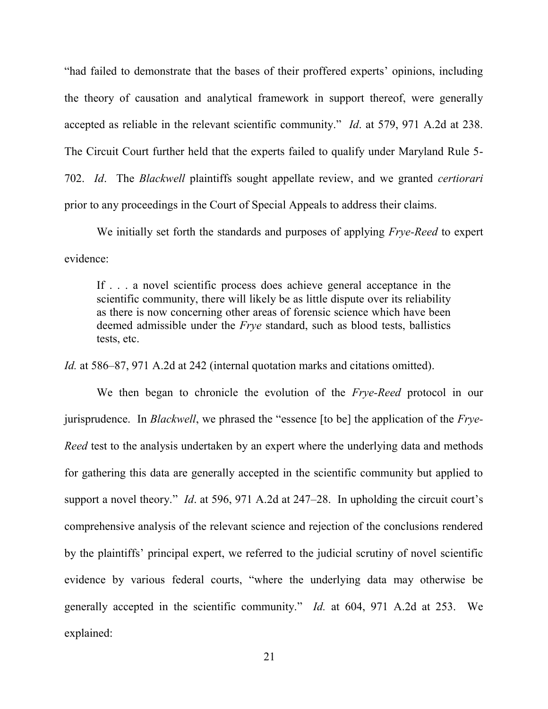"had failed to demonstrate that the bases of their proffered experts' opinions, including the theory of causation and analytical framework in support thereof, were generally accepted as reliable in the relevant scientific community." *Id*. at 579, 971 A.2d at 238. The Circuit Court further held that the experts failed to qualify under Maryland Rule 5- 702. *Id*. The *Blackwell* plaintiffs sought appellate review, and we granted *certiorari* prior to any proceedings in the Court of Special Appeals to address their claims.

 We initially set forth the standards and purposes of applying *Frye-Reed* to expert evidence:

If . . . a novel scientific process does achieve general acceptance in the scientific community, there will likely be as little dispute over its reliability as there is now concerning other areas of forensic science which have been deemed admissible under the *Frye* standard, such as blood tests, ballistics tests, etc.

*Id.* at 586–87, 971 A.2d at 242 (internal quotation marks and citations omitted).

We then began to chronicle the evolution of the *Frye-Reed* protocol in our jurisprudence. In *Blackwell*, we phrased the "essence [to be] the application of the *Frye-Reed* test to the analysis undertaken by an expert where the underlying data and methods for gathering this data are generally accepted in the scientific community but applied to support a novel theory." *Id*. at 596, 971 A.2d at 247–28. In upholding the circuit court's comprehensive analysis of the relevant science and rejection of the conclusions rendered by the plaintiffs' principal expert, we referred to the judicial scrutiny of novel scientific evidence by various federal courts, "where the underlying data may otherwise be generally accepted in the scientific community." *Id.* at 604, 971 A.2d at 253. We explained: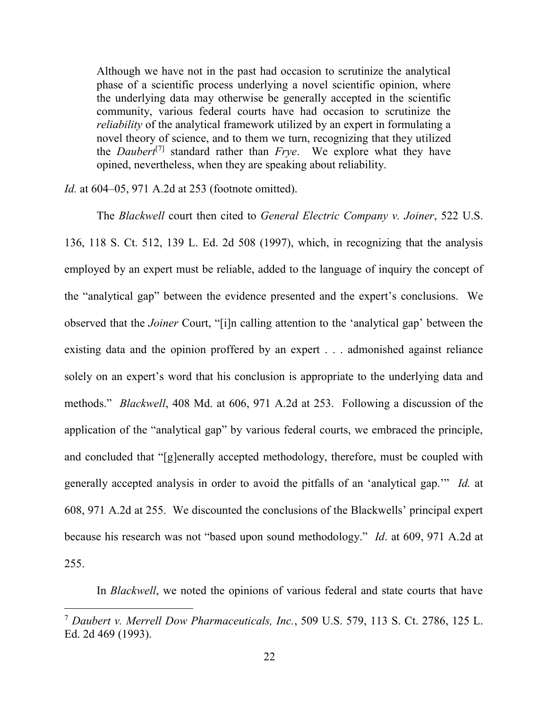Although we have not in the past had occasion to scrutinize the analytical phase of a scientific process underlying a novel scientific opinion, where the underlying data may otherwise be generally accepted in the scientific community, various federal courts have had occasion to scrutinize the *reliability* of the analytical framework utilized by an expert in formulating a novel theory of science, and to them we turn, recognizing that they utilized the *Daubert*[7] standard rather than *Frye*. We explore what they have opined, nevertheless, when they are speaking about reliability.

*Id.* at 604–05, 971 A.2d at 253 (footnote omitted).

 $\overline{a}$ 

The *Blackwell* court then cited to *General Electric Company v. Joiner*, 522 U.S. 136, 118 S. Ct. 512, 139 L. Ed. 2d 508 (1997), which, in recognizing that the analysis employed by an expert must be reliable, added to the language of inquiry the concept of the "analytical gap" between the evidence presented and the expert's conclusions. We observed that the *Joiner* Court, "[i]n calling attention to the 'analytical gap' between the existing data and the opinion proffered by an expert . . . admonished against reliance solely on an expert's word that his conclusion is appropriate to the underlying data and methods." *Blackwell*, 408 Md. at 606, 971 A.2d at 253. Following a discussion of the application of the "analytical gap" by various federal courts, we embraced the principle, and concluded that "[g]enerally accepted methodology, therefore, must be coupled with generally accepted analysis in order to avoid the pitfalls of an 'analytical gap.'" *Id.* at 608, 971 A.2d at 255. We discounted the conclusions of the Blackwells' principal expert because his research was not "based upon sound methodology." *Id*. at 609, 971 A.2d at 255.

In *Blackwell*, we noted the opinions of various federal and state courts that have

<sup>7</sup> *Daubert v. Merrell Dow Pharmaceuticals, Inc.*, 509 U.S. 579, 113 S. Ct. 2786, 125 L. Ed. 2d 469 (1993).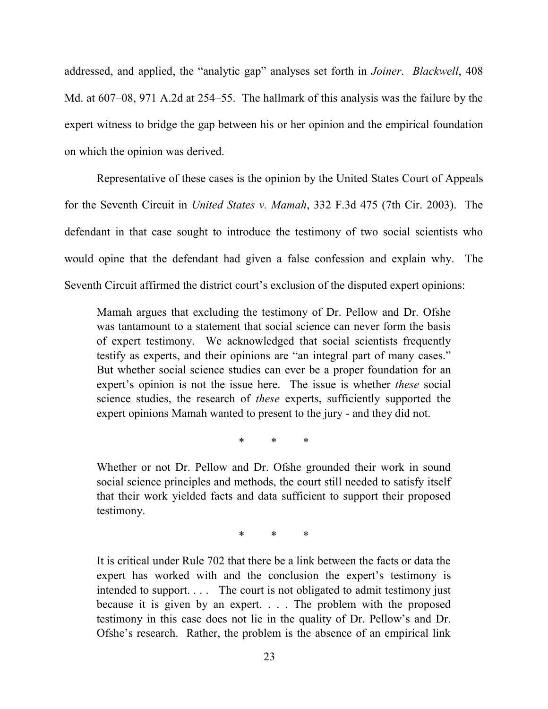addressed, and applied, the "analytic gap" analyses set forth in *Joiner*. *Blackwell*, 408 Md. at 607–08, 971 A.2d at 254–55. The hallmark of this analysis was the failure by the expert witness to bridge the gap between his or her opinion and the empirical foundation on which the opinion was derived.

Representative of these cases is the opinion by the United States Court of Appeals for the Seventh Circuit in *United States v. Mamah*, 332 F.3d 475 (7th Cir. 2003). The defendant in that case sought to introduce the testimony of two social scientists who would opine that the defendant had given a false confession and explain why. The Seventh Circuit affirmed the district court's exclusion of the disputed expert opinions:

Mamah argues that excluding the testimony of Dr. Pellow and Dr. Ofshe was tantamount to a statement that social science can never form the basis of expert testimony. We acknowledged that social scientists frequently testify as experts, and their opinions are "an integral part of many cases." But whether social science studies can ever be a proper foundation for an expert's opinion is not the issue here. The issue is whether *these* social science studies, the research of *these* experts, sufficiently supported the expert opinions Mamah wanted to present to the jury - and they did not.

\* \* \*

Whether or not Dr. Pellow and Dr. Ofshe grounded their work in sound social science principles and methods, the court still needed to satisfy itself that their work yielded facts and data sufficient to support their proposed testimony.

\* \* \*

It is critical under Rule 702 that there be a link between the facts or data the expert has worked with and the conclusion the expert's testimony is intended to support. . . . The court is not obligated to admit testimony just because it is given by an expert. . . . The problem with the proposed testimony in this case does not lie in the quality of Dr. Pellow's and Dr. Ofshe's research. Rather, the problem is the absence of an empirical link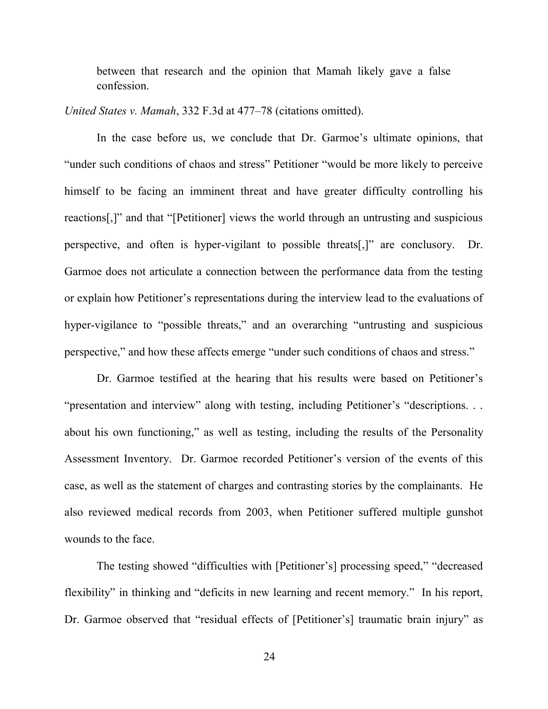between that research and the opinion that Mamah likely gave a false confession.

*United States v. Mamah*, 332 F.3d at 477–78 (citations omitted).

 In the case before us, we conclude that Dr. Garmoe's ultimate opinions, that "under such conditions of chaos and stress" Petitioner "would be more likely to perceive himself to be facing an imminent threat and have greater difficulty controlling his reactions[,]" and that "[Petitioner] views the world through an untrusting and suspicious perspective, and often is hyper-vigilant to possible threats[,]" are conclusory. Dr. Garmoe does not articulate a connection between the performance data from the testing or explain how Petitioner's representations during the interview lead to the evaluations of hyper-vigilance to "possible threats," and an overarching "untrusting and suspicious perspective," and how these affects emerge "under such conditions of chaos and stress."

Dr. Garmoe testified at the hearing that his results were based on Petitioner's "presentation and interview" along with testing, including Petitioner's "descriptions. . . about his own functioning," as well as testing, including the results of the Personality Assessment Inventory. Dr. Garmoe recorded Petitioner's version of the events of this case, as well as the statement of charges and contrasting stories by the complainants. He also reviewed medical records from 2003, when Petitioner suffered multiple gunshot wounds to the face.

The testing showed "difficulties with [Petitioner's] processing speed," "decreased flexibility" in thinking and "deficits in new learning and recent memory." In his report, Dr. Garmoe observed that "residual effects of [Petitioner's] traumatic brain injury" as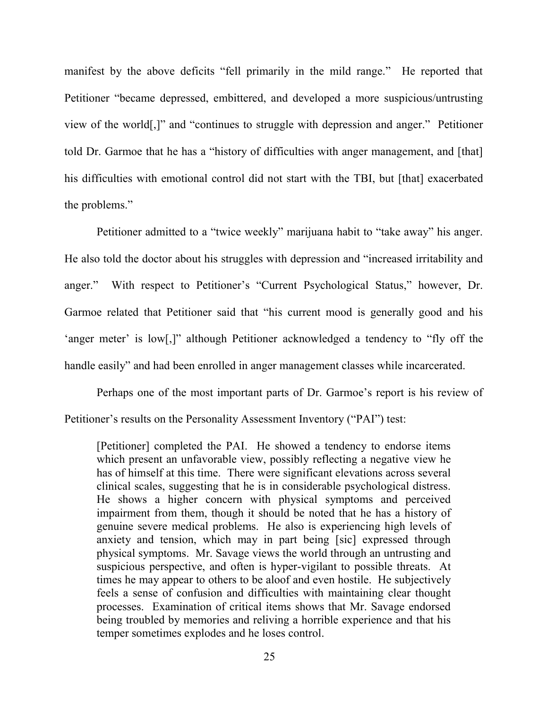manifest by the above deficits "fell primarily in the mild range." He reported that Petitioner "became depressed, embittered, and developed a more suspicious/untrusting view of the world[,]" and "continues to struggle with depression and anger." Petitioner told Dr. Garmoe that he has a "history of difficulties with anger management, and [that] his difficulties with emotional control did not start with the TBI, but [that] exacerbated the problems."

Petitioner admitted to a "twice weekly" marijuana habit to "take away" his anger. He also told the doctor about his struggles with depression and "increased irritability and anger." With respect to Petitioner's "Current Psychological Status," however, Dr. Garmoe related that Petitioner said that "his current mood is generally good and his 'anger meter' is low[,]" although Petitioner acknowledged a tendency to "fly off the handle easily" and had been enrolled in anger management classes while incarcerated.

Perhaps one of the most important parts of Dr. Garmoe's report is his review of Petitioner's results on the Personality Assessment Inventory ("PAI") test:

[Petitioner] completed the PAI. He showed a tendency to endorse items which present an unfavorable view, possibly reflecting a negative view he has of himself at this time. There were significant elevations across several clinical scales, suggesting that he is in considerable psychological distress. He shows a higher concern with physical symptoms and perceived impairment from them, though it should be noted that he has a history of genuine severe medical problems. He also is experiencing high levels of anxiety and tension, which may in part being [sic] expressed through physical symptoms. Mr. Savage views the world through an untrusting and suspicious perspective, and often is hyper-vigilant to possible threats. At times he may appear to others to be aloof and even hostile. He subjectively feels a sense of confusion and difficulties with maintaining clear thought processes. Examination of critical items shows that Mr. Savage endorsed being troubled by memories and reliving a horrible experience and that his temper sometimes explodes and he loses control.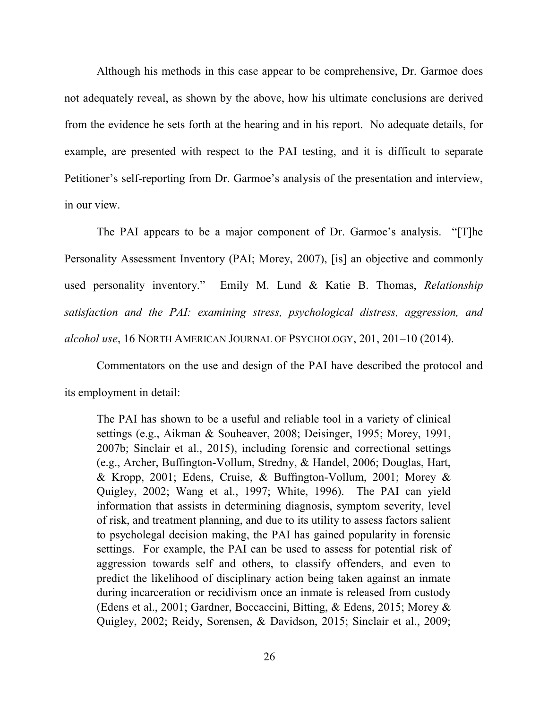Although his methods in this case appear to be comprehensive, Dr. Garmoe does not adequately reveal, as shown by the above, how his ultimate conclusions are derived from the evidence he sets forth at the hearing and in his report. No adequate details, for example, are presented with respect to the PAI testing, and it is difficult to separate Petitioner's self-reporting from Dr. Garmoe's analysis of the presentation and interview, in our view.

The PAI appears to be a major component of Dr. Garmoe's analysis. "[T]he Personality Assessment Inventory (PAI; Morey, 2007), [is] an objective and commonly used personality inventory." Emily M. Lund & Katie B. Thomas, *Relationship satisfaction and the PAI: examining stress, psychological distress, aggression, and alcohol use*, 16 NORTH AMERICAN JOURNAL OF PSYCHOLOGY, 201, 201–10 (2014).

 Commentators on the use and design of the PAI have described the protocol and its employment in detail:

The PAI has shown to be a useful and reliable tool in a variety of clinical settings (e.g., Aikman & Souheaver, 2008; Deisinger, 1995; Morey, 1991, 2007b; Sinclair et al., 2015), including forensic and correctional settings (e.g., Archer, Buffington-Vollum, Stredny, & Handel, 2006; Douglas, Hart, & Kropp, 2001; Edens, Cruise, & Buffington-Vollum, 2001; Morey & Quigley, 2002; Wang et al., 1997; White, 1996). The PAI can yield information that assists in determining diagnosis, symptom severity, level of risk, and treatment planning, and due to its utility to assess factors salient to psycholegal decision making, the PAI has gained popularity in forensic settings. For example, the PAI can be used to assess for potential risk of aggression towards self and others, to classify offenders, and even to predict the likelihood of disciplinary action being taken against an inmate during incarceration or recidivism once an inmate is released from custody (Edens et al., 2001; Gardner, Boccaccini, Bitting, & Edens, 2015; Morey & Quigley, 2002; Reidy, Sorensen, & Davidson, 2015; Sinclair et al., 2009;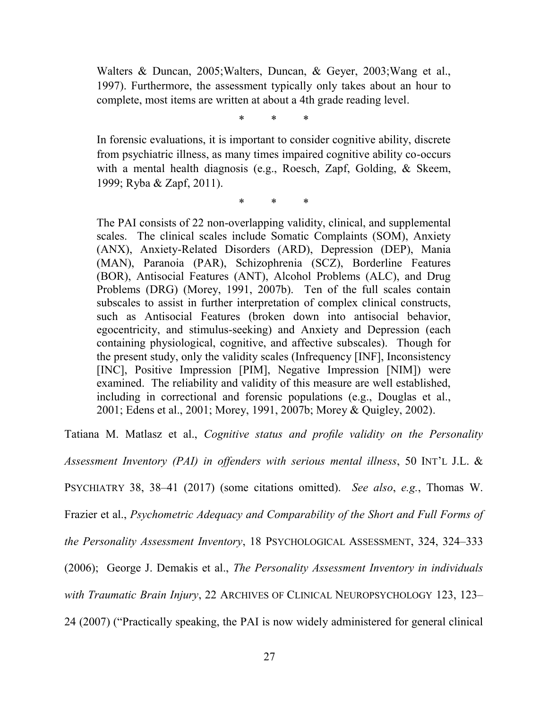Walters & Duncan, 2005;Walters, Duncan, & Geyer, 2003;Wang et al., 1997). Furthermore, the assessment typically only takes about an hour to complete, most items are written at about a 4th grade reading level.

\* \* \*

In forensic evaluations, it is important to consider cognitive ability, discrete from psychiatric illness, as many times impaired cognitive ability co-occurs with a mental health diagnosis (e.g., Roesch, Zapf, Golding, & Skeem, 1999; Ryba & Zapf, 2011).

\* \* \*

The PAI consists of 22 non-overlapping validity, clinical, and supplemental scales. The clinical scales include Somatic Complaints (SOM), Anxiety (ANX), Anxiety-Related Disorders (ARD), Depression (DEP), Mania (MAN), Paranoia (PAR), Schizophrenia (SCZ), Borderline Features (BOR), Antisocial Features (ANT), Alcohol Problems (ALC), and Drug Problems (DRG) (Morey, 1991, 2007b). Ten of the full scales contain subscales to assist in further interpretation of complex clinical constructs, such as Antisocial Features (broken down into antisocial behavior, egocentricity, and stimulus-seeking) and Anxiety and Depression (each containing physiological, cognitive, and affective subscales). Though for the present study, only the validity scales (Infrequency [INF], Inconsistency [INC], Positive Impression [PIM], Negative Impression [NIM]) were examined. The reliability and validity of this measure are well established, including in correctional and forensic populations (e.g., Douglas et al., 2001; Edens et al., 2001; Morey, 1991, 2007b; Morey & Quigley, 2002).

Tatiana M. Matlasz et al., *Cognitive status and profile validity on the Personality* 

*Assessment Inventory (PAI) in offenders with serious mental illness*, 50 INT'L J.L. &

PSYCHIATRY 38, 38–41 (2017) (some citations omitted). *See also*, *e.g.*, Thomas W.

Frazier et al., *Psychometric Adequacy and Comparability of the Short and Full Forms of* 

*the Personality Assessment Inventory*, 18 PSYCHOLOGICAL ASSESSMENT, 324, 324–333

(2006); George J. Demakis et al., *The Personality Assessment Inventory in individuals* 

*with Traumatic Brain Injury*, 22 ARCHIVES OF CLINICAL NEUROPSYCHOLOGY 123, 123–

24 (2007) ("Practically speaking, the PAI is now widely administered for general clinical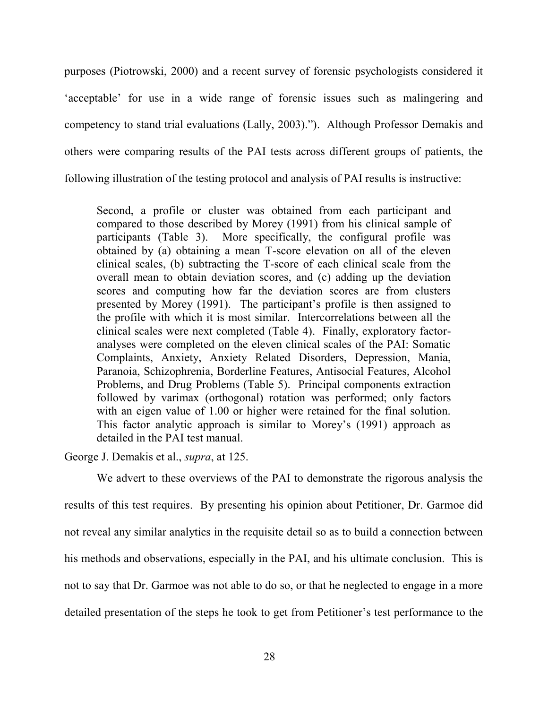purposes (Piotrowski, 2000) and a recent survey of forensic psychologists considered it 'acceptable' for use in a wide range of forensic issues such as malingering and competency to stand trial evaluations (Lally, 2003)."). Although Professor Demakis and others were comparing results of the PAI tests across different groups of patients, the following illustration of the testing protocol and analysis of PAI results is instructive:

Second, a profile or cluster was obtained from each participant and compared to those described by Morey (1991) from his clinical sample of participants (Table 3). More specifically, the configural profile was obtained by (a) obtaining a mean T-score elevation on all of the eleven clinical scales, (b) subtracting the T-score of each clinical scale from the overall mean to obtain deviation scores, and (c) adding up the deviation scores and computing how far the deviation scores are from clusters presented by Morey (1991). The participant's profile is then assigned to the profile with which it is most similar. Intercorrelations between all the clinical scales were next completed (Table 4). Finally, exploratory factoranalyses were completed on the eleven clinical scales of the PAI: Somatic Complaints, Anxiety, Anxiety Related Disorders, Depression, Mania, Paranoia, Schizophrenia, Borderline Features, Antisocial Features, Alcohol Problems, and Drug Problems (Table 5). Principal components extraction followed by varimax (orthogonal) rotation was performed; only factors with an eigen value of 1.00 or higher were retained for the final solution. This factor analytic approach is similar to Morey's (1991) approach as detailed in the PAI test manual.

George J. Demakis et al., *supra*, at 125.

We advert to these overviews of the PAI to demonstrate the rigorous analysis the results of this test requires. By presenting his opinion about Petitioner, Dr. Garmoe did not reveal any similar analytics in the requisite detail so as to build a connection between his methods and observations, especially in the PAI, and his ultimate conclusion. This is not to say that Dr. Garmoe was not able to do so, or that he neglected to engage in a more detailed presentation of the steps he took to get from Petitioner's test performance to the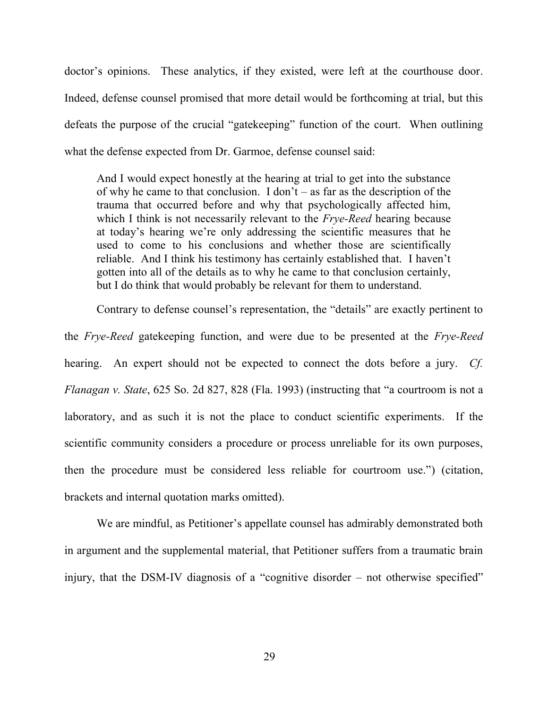doctor's opinions. These analytics, if they existed, were left at the courthouse door. Indeed, defense counsel promised that more detail would be forthcoming at trial, but this defeats the purpose of the crucial "gatekeeping" function of the court. When outlining what the defense expected from Dr. Garmoe, defense counsel said:

And I would expect honestly at the hearing at trial to get into the substance of why he came to that conclusion. I don't – as far as the description of the trauma that occurred before and why that psychologically affected him, which I think is not necessarily relevant to the *Frye-Reed* hearing because at today's hearing we're only addressing the scientific measures that he used to come to his conclusions and whether those are scientifically reliable. And I think his testimony has certainly established that. I haven't gotten into all of the details as to why he came to that conclusion certainly, but I do think that would probably be relevant for them to understand.

Contrary to defense counsel's representation, the "details" are exactly pertinent to the *Frye-Reed* gatekeeping function, and were due to be presented at the *Frye-Reed* hearing. An expert should not be expected to connect the dots before a jury. *Cf. Flanagan v. State*, 625 So. 2d 827, 828 (Fla. 1993) (instructing that "a courtroom is not a laboratory, and as such it is not the place to conduct scientific experiments. If the scientific community considers a procedure or process unreliable for its own purposes, then the procedure must be considered less reliable for courtroom use.") (citation, brackets and internal quotation marks omitted).

We are mindful, as Petitioner's appellate counsel has admirably demonstrated both in argument and the supplemental material, that Petitioner suffers from a traumatic brain injury, that the DSM-IV diagnosis of a "cognitive disorder – not otherwise specified"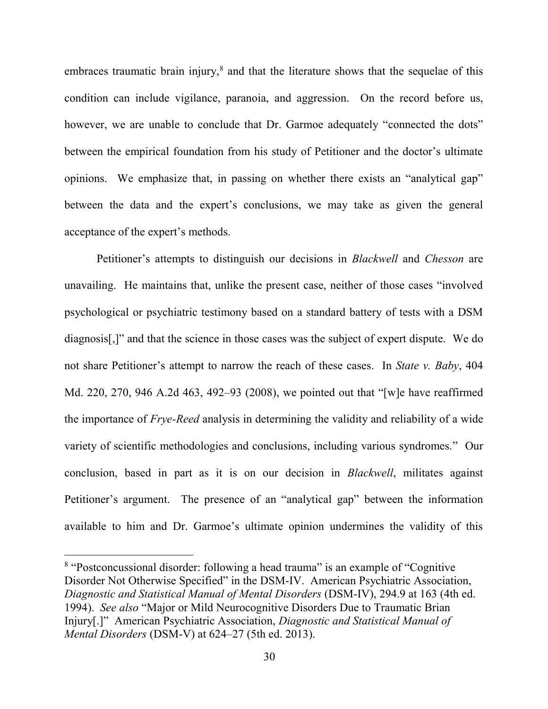embraces traumatic brain injury,<sup>8</sup> and that the literature shows that the sequelae of this condition can include vigilance, paranoia, and aggression. On the record before us, however, we are unable to conclude that Dr. Garmoe adequately "connected the dots" between the empirical foundation from his study of Petitioner and the doctor's ultimate opinions. We emphasize that, in passing on whether there exists an "analytical gap" between the data and the expert's conclusions, we may take as given the general acceptance of the expert's methods.

Petitioner's attempts to distinguish our decisions in *Blackwell* and *Chesson* are unavailing. He maintains that, unlike the present case, neither of those cases "involved psychological or psychiatric testimony based on a standard battery of tests with a DSM diagnosis[,]" and that the science in those cases was the subject of expert dispute. We do not share Petitioner's attempt to narrow the reach of these cases. In *State v. Baby*, 404 Md. 220, 270, 946 A.2d 463, 492–93 (2008), we pointed out that "[w]e have reaffirmed the importance of *Frye-Reed* analysis in determining the validity and reliability of a wide variety of scientific methodologies and conclusions, including various syndromes." Our conclusion, based in part as it is on our decision in *Blackwell*, militates against Petitioner's argument. The presence of an "analytical gap" between the information available to him and Dr. Garmoe's ultimate opinion undermines the validity of this

<sup>&</sup>lt;sup>8</sup> "Postconcussional disorder: following a head trauma" is an example of "Cognitive Disorder Not Otherwise Specified" in the DSM-IV. American Psychiatric Association, *Diagnostic and Statistical Manual of Mental Disorders* (DSM-IV), 294.9 at 163 (4th ed. 1994). *See also* "Major or Mild Neurocognitive Disorders Due to Traumatic Brian Injury[.]" American Psychiatric Association, *Diagnostic and Statistical Manual of Mental Disorders* (DSM-V) at 624–27 (5th ed. 2013).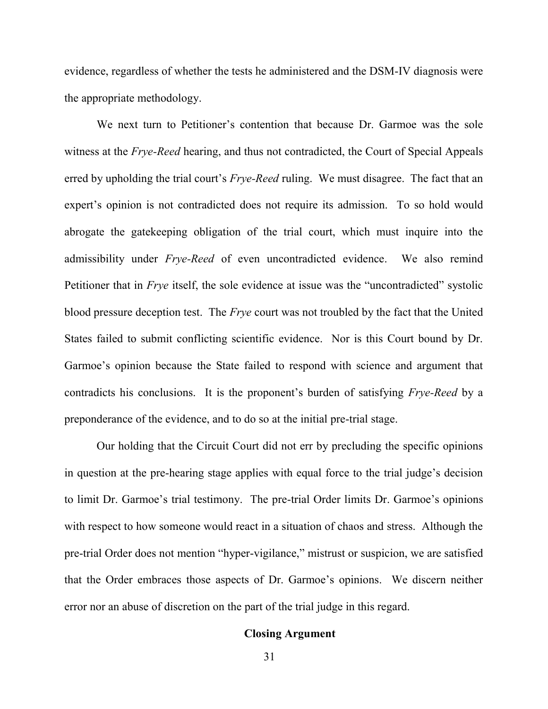evidence, regardless of whether the tests he administered and the DSM-IV diagnosis were the appropriate methodology.

We next turn to Petitioner's contention that because Dr. Garmoe was the sole witness at the *Frye-Reed* hearing, and thus not contradicted, the Court of Special Appeals erred by upholding the trial court's *Frye-Reed* ruling. We must disagree. The fact that an expert's opinion is not contradicted does not require its admission. To so hold would abrogate the gatekeeping obligation of the trial court, which must inquire into the admissibility under *Frye-Reed* of even uncontradicted evidence. We also remind Petitioner that in *Frye* itself, the sole evidence at issue was the "uncontradicted" systolic blood pressure deception test. The *Frye* court was not troubled by the fact that the United States failed to submit conflicting scientific evidence. Nor is this Court bound by Dr. Garmoe's opinion because the State failed to respond with science and argument that contradicts his conclusions. It is the proponent's burden of satisfying *Frye-Reed* by a preponderance of the evidence, and to do so at the initial pre-trial stage.

Our holding that the Circuit Court did not err by precluding the specific opinions in question at the pre-hearing stage applies with equal force to the trial judge's decision to limit Dr. Garmoe's trial testimony. The pre-trial Order limits Dr. Garmoe's opinions with respect to how someone would react in a situation of chaos and stress. Although the pre-trial Order does not mention "hyper-vigilance," mistrust or suspicion, we are satisfied that the Order embraces those aspects of Dr. Garmoe's opinions. We discern neither error nor an abuse of discretion on the part of the trial judge in this regard.

## **Closing Argument**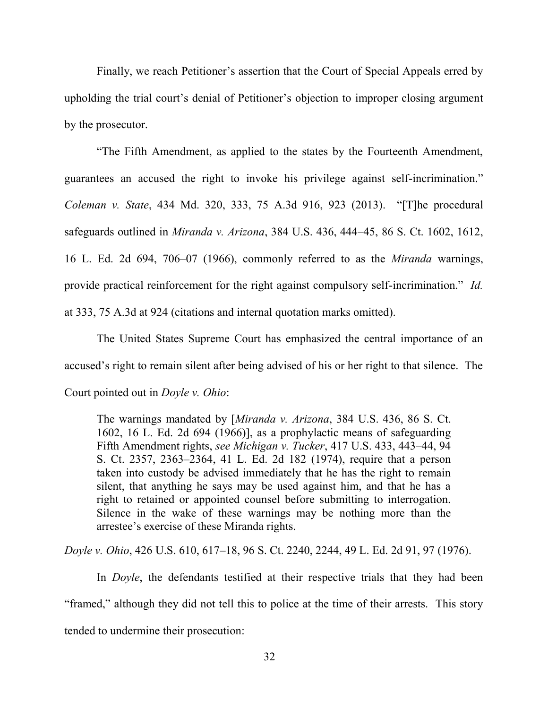Finally, we reach Petitioner's assertion that the Court of Special Appeals erred by upholding the trial court's denial of Petitioner's objection to improper closing argument by the prosecutor.

"The Fifth Amendment, as applied to the states by the Fourteenth Amendment, guarantees an accused the right to invoke his privilege against self-incrimination." *Coleman v. State*, 434 Md. 320, 333, 75 A.3d 916, 923 (2013). "[T]he procedural safeguards outlined in *Miranda v. Arizona*, 384 U.S. 436, 444–45, 86 S. Ct. 1602, 1612, 16 L. Ed. 2d 694, 706–07 (1966), commonly referred to as the *Miranda* warnings, provide practical reinforcement for the right against compulsory self-incrimination." *Id.* at 333, 75 A.3d at 924 (citations and internal quotation marks omitted).

The United States Supreme Court has emphasized the central importance of an accused's right to remain silent after being advised of his or her right to that silence. The Court pointed out in *Doyle v. Ohio*:

The warnings mandated by [*Miranda v. Arizona*, 384 U.S. 436, 86 S. Ct. 1602, 16 L. Ed. 2d 694 (1966)], as a prophylactic means of safeguarding Fifth Amendment rights, *see Michigan v. Tucker*, 417 U.S. 433, 443–44, 94 S. Ct. 2357, 2363–2364, 41 L. Ed. 2d 182 (1974), require that a person taken into custody be advised immediately that he has the right to remain silent, that anything he says may be used against him, and that he has a right to retained or appointed counsel before submitting to interrogation. Silence in the wake of these warnings may be nothing more than the arrestee's exercise of these Miranda rights.

*Doyle v. Ohio*, 426 U.S. 610, 617–18, 96 S. Ct. 2240, 2244, 49 L. Ed. 2d 91, 97 (1976).

In *Doyle*, the defendants testified at their respective trials that they had been "framed," although they did not tell this to police at the time of their arrests. This story tended to undermine their prosecution: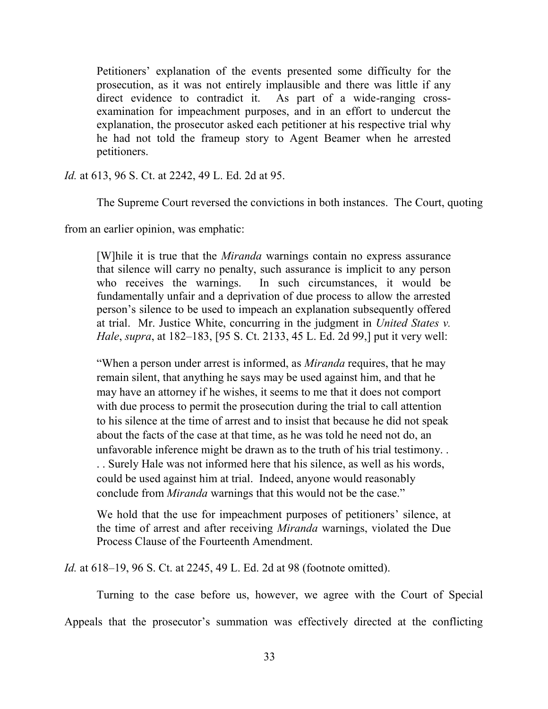Petitioners' explanation of the events presented some difficulty for the prosecution, as it was not entirely implausible and there was little if any direct evidence to contradict it. As part of a wide-ranging crossexamination for impeachment purposes, and in an effort to undercut the explanation, the prosecutor asked each petitioner at his respective trial why he had not told the frameup story to Agent Beamer when he arrested petitioners.

*Id.* at 613, 96 S. Ct. at 2242, 49 L. Ed. 2d at 95.

The Supreme Court reversed the convictions in both instances. The Court, quoting

from an earlier opinion, was emphatic:

[W]hile it is true that the *Miranda* warnings contain no express assurance that silence will carry no penalty, such assurance is implicit to any person who receives the warnings. In such circumstances, it would be fundamentally unfair and a deprivation of due process to allow the arrested person's silence to be used to impeach an explanation subsequently offered at trial. Mr. Justice White, concurring in the judgment in *United States v. Hale*, *supra*, at 182–183, [95 S. Ct. 2133, 45 L. Ed. 2d 99,] put it very well:

"When a person under arrest is informed, as *Miranda* requires, that he may remain silent, that anything he says may be used against him, and that he may have an attorney if he wishes, it seems to me that it does not comport with due process to permit the prosecution during the trial to call attention to his silence at the time of arrest and to insist that because he did not speak about the facts of the case at that time, as he was told he need not do, an unfavorable inference might be drawn as to the truth of his trial testimony. . . . Surely Hale was not informed here that his silence, as well as his words, could be used against him at trial. Indeed, anyone would reasonably conclude from *Miranda* warnings that this would not be the case."

We hold that the use for impeachment purposes of petitioners' silence, at the time of arrest and after receiving *Miranda* warnings, violated the Due Process Clause of the Fourteenth Amendment.

*Id.* at 618–19, 96 S. Ct. at 2245, 49 L. Ed. 2d at 98 (footnote omitted).

Turning to the case before us, however, we agree with the Court of Special

Appeals that the prosecutor's summation was effectively directed at the conflicting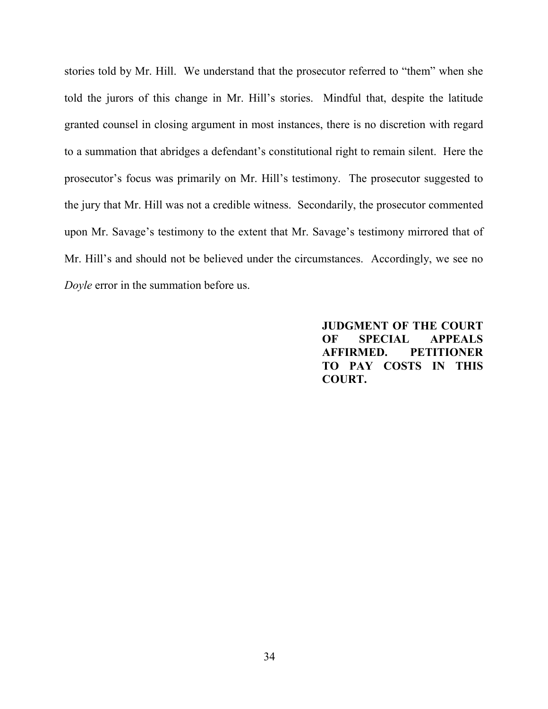stories told by Mr. Hill. We understand that the prosecutor referred to "them" when she told the jurors of this change in Mr. Hill's stories. Mindful that, despite the latitude granted counsel in closing argument in most instances, there is no discretion with regard to a summation that abridges a defendant's constitutional right to remain silent. Here the prosecutor's focus was primarily on Mr. Hill's testimony. The prosecutor suggested to the jury that Mr. Hill was not a credible witness. Secondarily, the prosecutor commented upon Mr. Savage's testimony to the extent that Mr. Savage's testimony mirrored that of Mr. Hill's and should not be believed under the circumstances. Accordingly, we see no *Doyle* error in the summation before us.

> **JUDGMENT OF THE COURT OF SPECIAL APPEALS AFFIRMED. PETITIONER TO PAY COSTS IN THIS COURT.**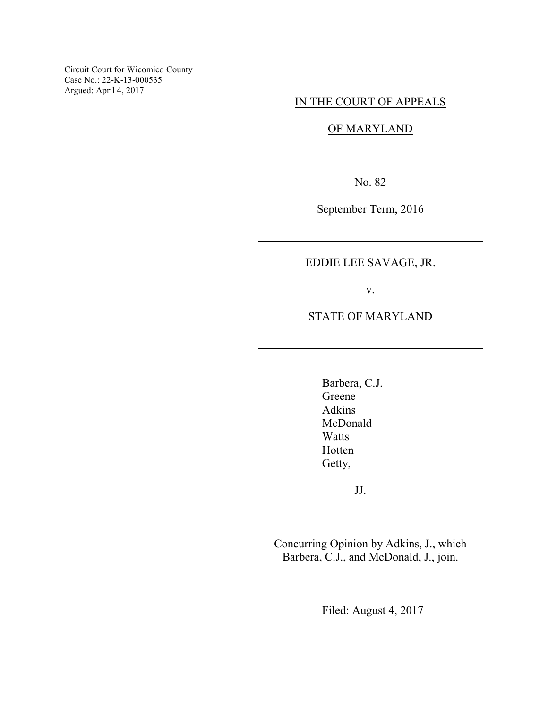Circuit Court for Wicomico County Case No.: 22-K-13-000535 Argued: April 4, 2017

## IN THE COURT OF APPEALS

# OF MARYLAND

No. 82

 $\overline{a}$ 

 $\overline{a}$ 

 $\overline{a}$ 

 $\overline{a}$ 

 $\overline{a}$ 

September Term, 2016

# EDDIE LEE SAVAGE, JR.

v.

STATE OF MARYLAND

Barbera, C.J. Greene Adkins McDonald **Watts** Hotten Getty,

JJ.

Concurring Opinion by Adkins, J., which Barbera, C.J., and McDonald, J., join.

Filed: August 4, 2017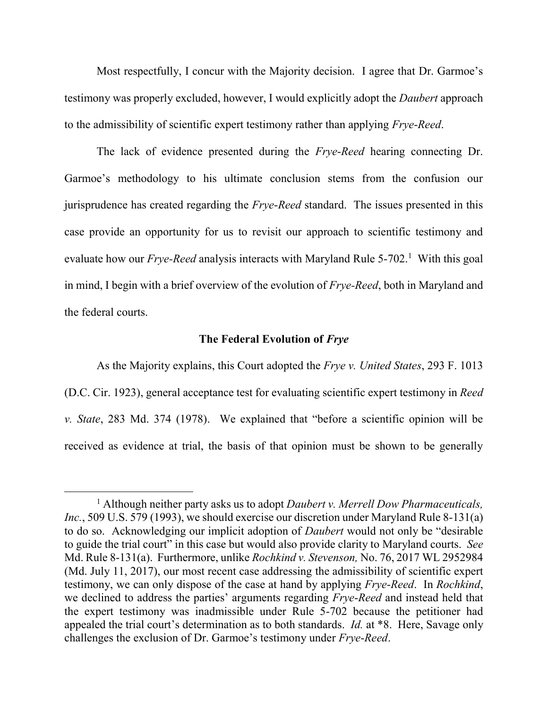Most respectfully, I concur with the Majority decision. I agree that Dr. Garmoe's testimony was properly excluded, however, I would explicitly adopt the *Daubert* approach to the admissibility of scientific expert testimony rather than applying *Frye*-*Reed*.

The lack of evidence presented during the *Frye*-*Reed* hearing connecting Dr. Garmoe's methodology to his ultimate conclusion stems from the confusion our jurisprudence has created regarding the *Frye*-*Reed* standard. The issues presented in this case provide an opportunity for us to revisit our approach to scientific testimony and evaluate how our *Frye-Reed* analysis interacts with Maryland Rule 5-702.<sup>1</sup> With this goal in mind, I begin with a brief overview of the evolution of *Frye-Reed*, both in Maryland and the federal courts.

### **The Federal Evolution of** *Frye*

As the Majority explains, this Court adopted the *Frye v. United States*, 293 F. 1013 (D.C. Cir. 1923), general acceptance test for evaluating scientific expert testimony in *Reed v. State*, 283 Md. 374 (1978). We explained that "before a scientific opinion will be received as evidence at trial, the basis of that opinion must be shown to be generally

<sup>1</sup> Although neither party asks us to adopt *Daubert v. Merrell Dow Pharmaceuticals, Inc.*, 509 U.S. 579 (1993), we should exercise our discretion under Maryland Rule 8-131(a) to do so. Acknowledging our implicit adoption of *Daubert* would not only be "desirable to guide the trial court" in this case but would also provide clarity to Maryland courts. *See* Md. Rule 8-131(a). Furthermore, unlike *Rochkind v. Stevenson,* No. 76, 2017 WL 2952984 (Md. July 11, 2017), our most recent case addressing the admissibility of scientific expert testimony, we can only dispose of the case at hand by applying *Frye*-*Reed*. In *Rochkind*, we declined to address the parties' arguments regarding *Frye*-*Reed* and instead held that the expert testimony was inadmissible under Rule 5-702 because the petitioner had appealed the trial court's determination as to both standards. *Id.* at \*8. Here, Savage only challenges the exclusion of Dr. Garmoe's testimony under *Frye*-*Reed*.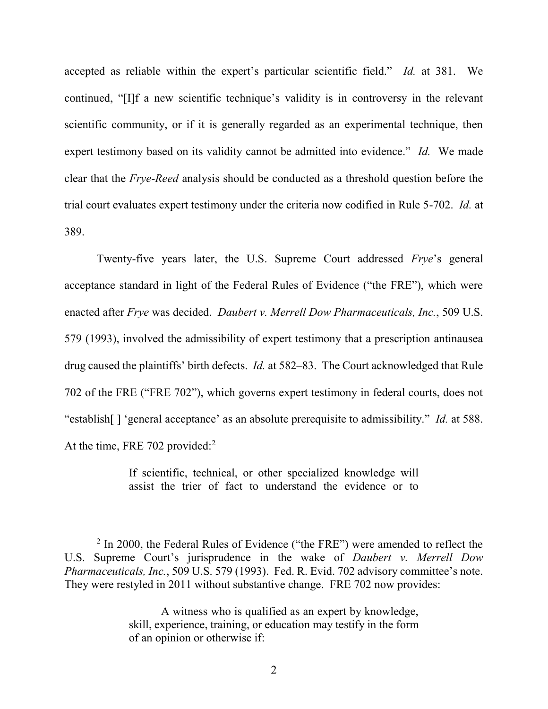accepted as reliable within the expert's particular scientific field." *Id.* at 381. We continued, "[I]f a new scientific technique's validity is in controversy in the relevant scientific community, or if it is generally regarded as an experimental technique, then expert testimony based on its validity cannot be admitted into evidence." *Id.* We made clear that the *Frye-Reed* analysis should be conducted as a threshold question before the trial court evaluates expert testimony under the criteria now codified in Rule 5-702. *Id.* at 389.

Twenty-five years later, the U.S. Supreme Court addressed *Frye*'s general acceptance standard in light of the Federal Rules of Evidence ("the FRE"), which were enacted after *Frye* was decided. *Daubert v. Merrell Dow Pharmaceuticals, Inc.*, 509 U.S. 579 (1993), involved the admissibility of expert testimony that a prescription antinausea drug caused the plaintiffs' birth defects. *Id.* at 582–83. The Court acknowledged that Rule 702 of the FRE ("FRE 702"), which governs expert testimony in federal courts, does not "establish[ ] 'general acceptance' as an absolute prerequisite to admissibility." *Id.* at 588. At the time, FRE 702 provided:<sup>2</sup>

> If scientific, technical, or other specialized knowledge will assist the trier of fact to understand the evidence or to

 $2$  In 2000, the Federal Rules of Evidence ("the FRE") were amended to reflect the U.S. Supreme Court's jurisprudence in the wake of *Daubert v. Merrell Dow Pharmaceuticals, Inc.*, 509 U.S. 579 (1993). Fed. R. Evid. 702 advisory committee's note. They were restyled in 2011 without substantive change. FRE 702 now provides:

A witness who is qualified as an expert by knowledge, skill, experience, training, or education may testify in the form of an opinion or otherwise if: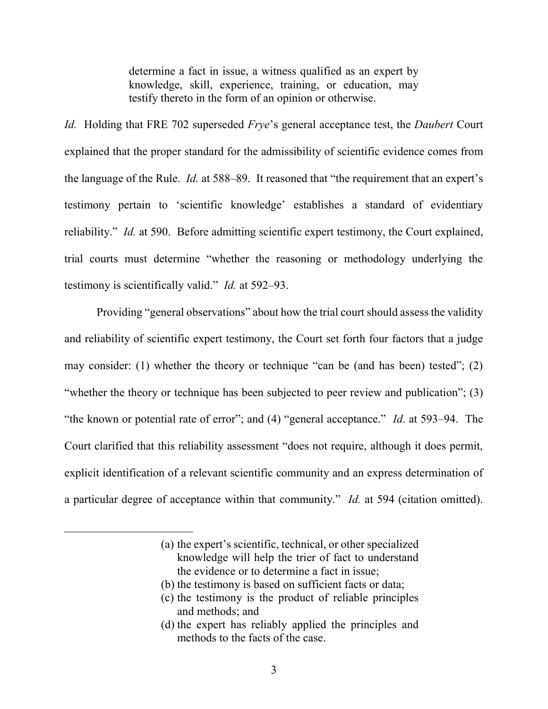determine a fact in issue, a witness qualified as an expert by knowledge, skill, experience, training, or education, may testify thereto in the form of an opinion or otherwise.

*Id.* Holding that FRE 702 superseded *Frye*'s general acceptance test, the *Daubert* Court explained that the proper standard for the admissibility of scientific evidence comes from the language of the Rule. *Id.* at 588–89. It reasoned that "the requirement that an expert's testimony pertain to 'scientific knowledge' establishes a standard of evidentiary reliability." *Id.* at 590. Before admitting scientific expert testimony, the Court explained, trial courts must determine "whether the reasoning or methodology underlying the testimony is scientifically valid." *Id.* at 592–93.

 Providing "general observations" about how the trial court should assess the validity and reliability of scientific expert testimony, the Court set forth four factors that a judge may consider: (1) whether the theory or technique "can be (and has been) tested"; (2) "whether the theory or technique has been subjected to peer review and publication"; (3) "the known or potential rate of error"; and (4) "general acceptance." *Id*. at 593–94. The Court clarified that this reliability assessment "does not require, although it does permit, explicit identification of a relevant scientific community and an express determination of a particular degree of acceptance within that community." *Id.* at 594 (citation omitted).

(b) the testimony is based on sufficient facts or data;

- (c) the testimony is the product of reliable principles and methods; and
- (d) the expert has reliably applied the principles and methods to the facts of the case.

<sup>(</sup>a) the expert's scientific, technical, or other specialized knowledge will help the trier of fact to understand the evidence or to determine a fact in issue;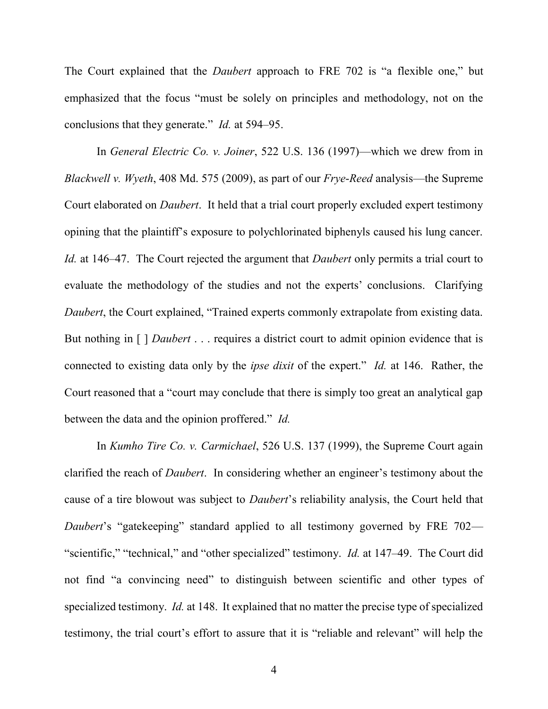The Court explained that the *Daubert* approach to FRE 702 is "a flexible one," but emphasized that the focus "must be solely on principles and methodology, not on the conclusions that they generate." *Id.* at 594–95.

In *General Electric Co. v. Joiner*, 522 U.S. 136 (1997)—which we drew from in *Blackwell v. Wyeth*, 408 Md. 575 (2009), as part of our *Frye*-*Reed* analysis—the Supreme Court elaborated on *Daubert*. It held that a trial court properly excluded expert testimony opining that the plaintiff's exposure to polychlorinated biphenyls caused his lung cancer. *Id.* at 146–47. The Court rejected the argument that *Daubert* only permits a trial court to evaluate the methodology of the studies and not the experts' conclusions. Clarifying *Daubert*, the Court explained, "Trained experts commonly extrapolate from existing data. But nothing in [ ] *Daubert* . . . requires a district court to admit opinion evidence that is connected to existing data only by the *ipse dixit* of the expert." *Id.* at 146. Rather, the Court reasoned that a "court may conclude that there is simply too great an analytical gap between the data and the opinion proffered." *Id.*

In *Kumho Tire Co. v. Carmichael*, 526 U.S. 137 (1999), the Supreme Court again clarified the reach of *Daubert*. In considering whether an engineer's testimony about the cause of a tire blowout was subject to *Daubert*'s reliability analysis, the Court held that *Daubert*'s "gatekeeping" standard applied to all testimony governed by FRE 702— "scientific," "technical," and "other specialized" testimony. *Id.* at 147–49. The Court did not find "a convincing need" to distinguish between scientific and other types of specialized testimony. *Id.* at 148. It explained that no matter the precise type of specialized testimony, the trial court's effort to assure that it is "reliable and relevant" will help the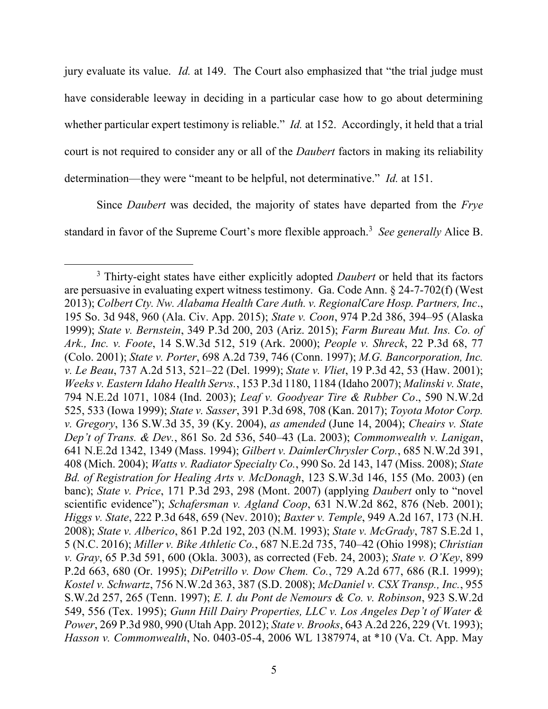jury evaluate its value. *Id.* at 149. The Court also emphasized that "the trial judge must have considerable leeway in deciding in a particular case how to go about determining whether particular expert testimony is reliable." *Id.* at 152. Accordingly, it held that a trial court is not required to consider any or all of the *Daubert* factors in making its reliability determination—they were "meant to be helpful, not determinative." *Id.* at 151.

Since *Daubert* was decided, the majority of states have departed from the *Frye* standard in favor of the Supreme Court's more flexible approach.<sup>3</sup> See generally Alice B.

<sup>3</sup> Thirty-eight states have either explicitly adopted *Daubert* or held that its factors are persuasive in evaluating expert witness testimony. Ga. Code Ann. § 24-7-702(f) (West 2013); *Colbert Cty. Nw. Alabama Health Care Auth. v. RegionalCare Hosp. Partners, Inc*., 195 So. 3d 948, 960 (Ala. Civ. App. 2015); *State v. Coon*, 974 P.2d 386, 394–95 (Alaska 1999); *State v. Bernstein*, 349 P.3d 200, 203 (Ariz. 2015); *Farm Bureau Mut. Ins. Co. of Ark., Inc. v. Foote*, 14 S.W.3d 512, 519 (Ark. 2000); *People v. Shreck*, 22 P.3d 68, 77 (Colo. 2001); *State v. Porter*, 698 A.2d 739, 746 (Conn. 1997); *M.G. Bancorporation, Inc. v. Le Beau*, 737 A.2d 513, 521–22 (Del. 1999); *State v. Vliet*, 19 P.3d 42, 53 (Haw. 2001); *Weeks v. Eastern Idaho Health Servs.*, 153 P.3d 1180, 1184 (Idaho 2007); *Malinski v. State*, 794 N.E.2d 1071, 1084 (Ind. 2003); *Leaf v. Goodyear Tire & Rubber Co*., 590 N.W.2d 525, 533 (Iowa 1999); *State v. Sasser*, 391 P.3d 698, 708 (Kan. 2017); *Toyota Motor Corp. v. Gregory*, 136 S.W.3d 35, 39 (Ky. 2004), *as amended* (June 14, 2004); *Cheairs v. State Dep't of Trans. & Dev.*, 861 So. 2d 536, 540–43 (La. 2003); *Commonwealth v. Lanigan*, 641 N.E.2d 1342, 1349 (Mass. 1994); *Gilbert v. DaimlerChrysler Corp.*, 685 N.W.2d 391, 408 (Mich. 2004); *Watts v. Radiator Specialty Co.*, 990 So. 2d 143, 147 (Miss. 2008); *State Bd. of Registration for Healing Arts v. McDonagh*, 123 S.W.3d 146, 155 (Mo. 2003) (en banc); *State v. Price*, 171 P.3d 293, 298 (Mont. 2007) (applying *Daubert* only to "novel scientific evidence"); *Schafersman v. Agland Coop*, 631 N.W.2d 862, 876 (Neb. 2001); *Higgs v. State*, 222 P.3d 648, 659 (Nev. 2010); *Baxter v. Temple*, 949 A.2d 167, 173 (N.H. 2008); *State v. Alberico*, 861 P.2d 192, 203 (N.M. 1993); *State v. McGrady*, 787 S.E.2d 1, 5 (N.C. 2016); *Miller v. Bike Athletic Co.*, 687 N.E.2d 735, 740–42 (Ohio 1998); *Christian v. Gray*, 65 P.3d 591, 600 (Okla. 3003), as corrected (Feb. 24, 2003); *State v. O'Key*, 899 P.2d 663, 680 (Or. 1995); *DiPetrillo v. Dow Chem. Co.*, 729 A.2d 677, 686 (R.I. 1999); *Kostel v. Schwartz*, 756 N.W.2d 363, 387 (S.D. 2008); *McDaniel v. CSX Transp., Inc.*, 955 S.W.2d 257, 265 (Tenn. 1997); *E. I. du Pont de Nemours & Co. v. Robinson*, 923 S.W.2d 549, 556 (Tex. 1995); *Gunn Hill Dairy Properties, LLC v. Los Angeles Dep't of Water & Power*, 269 P.3d 980, 990 (Utah App. 2012); *State v. Brooks*, 643 A.2d 226, 229 (Vt. 1993); *Hasson v. Commonwealth*, No. 0403-05-4, 2006 WL 1387974, at \*10 (Va. Ct. App. May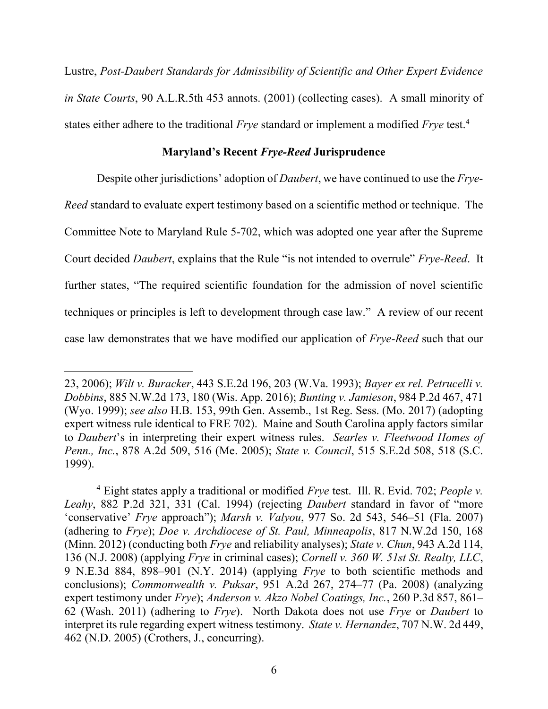Lustre, *Post-Daubert Standards for Admissibility of Scientific and Other Expert Evidence in State Courts*, 90 A.L.R.5th 453 annots. (2001) (collecting cases). A small minority of states either adhere to the traditional *Frye* standard or implement a modified *Frye* test. 4

### **Maryland's Recent** *Frye-Reed* **Jurisprudence**

Despite other jurisdictions' adoption of *Daubert*, we have continued to use the *Frye-Reed* standard to evaluate expert testimony based on a scientific method or technique. The Committee Note to Maryland Rule 5-702, which was adopted one year after the Supreme Court decided *Daubert*, explains that the Rule "is not intended to overrule" *Frye-Reed*. It further states, "The required scientific foundation for the admission of novel scientific techniques or principles is left to development through case law." A review of our recent case law demonstrates that we have modified our application of *Frye-Reed* such that our

<sup>23, 2006);</sup> *Wilt v. Buracker*, 443 S.E.2d 196, 203 (W.Va. 1993); *Bayer ex rel. Petrucelli v. Dobbins*, 885 N.W.2d 173, 180 (Wis. App. 2016); *Bunting v. Jamieson*, 984 P.2d 467, 471 (Wyo. 1999); *see also* H.B. 153, 99th Gen. Assemb., 1st Reg. Sess. (Mo. 2017) (adopting expert witness rule identical to FRE 702). Maine and South Carolina apply factors similar to *Daubert*'s in interpreting their expert witness rules. *Searles v. Fleetwood Homes of Penn., Inc.*, 878 A.2d 509, 516 (Me. 2005); *State v. Council*, 515 S.E.2d 508, 518 (S.C. 1999).

<sup>4</sup> Eight states apply a traditional or modified *Frye* test. Ill. R. Evid. 702; *People v. Leahy*, 882 P.2d 321, 331 (Cal. 1994) (rejecting *Daubert* standard in favor of "more 'conservative' *Frye* approach"); *Marsh v. Valyou*, 977 So. 2d 543, 546–51 (Fla. 2007) (adhering to *Frye*); *Doe v. Archdiocese of St. Paul, Minneapolis*, 817 N.W.2d 150, 168 (Minn. 2012) (conducting both *Frye* and reliability analyses); *State v. Chun*, 943 A.2d 114, 136 (N.J. 2008) (applying *Frye* in criminal cases); *Cornell v. 360 W. 51st St. Realty, LLC*, 9 N.E.3d 884, 898–901 (N.Y. 2014) (applying *Frye* to both scientific methods and conclusions); *Commonwealth v. Puksar*, 951 A.2d 267, 274–77 (Pa. 2008) (analyzing expert testimony under *Frye*); *Anderson v. Akzo Nobel Coatings, Inc.*, 260 P.3d 857, 861– 62 (Wash. 2011) (adhering to *Frye*). North Dakota does not use *Frye* or *Daubert* to interpret its rule regarding expert witness testimony. *State v. Hernandez*, 707 N.W. 2d 449, 462 (N.D. 2005) (Crothers, J., concurring).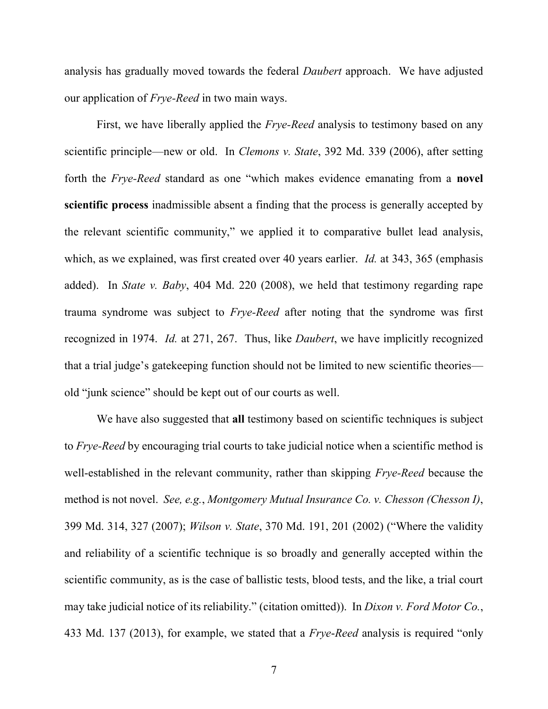analysis has gradually moved towards the federal *Daubert* approach. We have adjusted our application of *Frye-Reed* in two main ways.

First, we have liberally applied the *Frye-Reed* analysis to testimony based on any scientific principle—new or old. In *Clemons v. State*, 392 Md. 339 (2006), after setting forth the *Frye-Reed* standard as one "which makes evidence emanating from a **novel scientific process** inadmissible absent a finding that the process is generally accepted by the relevant scientific community," we applied it to comparative bullet lead analysis, which, as we explained, was first created over 40 years earlier. *Id.* at 343, 365 (emphasis added). In *State v. Baby*, 404 Md. 220 (2008), we held that testimony regarding rape trauma syndrome was subject to *Frye-Reed* after noting that the syndrome was first recognized in 1974. *Id.* at 271, 267. Thus, like *Daubert*, we have implicitly recognized that a trial judge's gatekeeping function should not be limited to new scientific theories old "junk science" should be kept out of our courts as well.

We have also suggested that **all** testimony based on scientific techniques is subject to *Frye-Reed* by encouraging trial courts to take judicial notice when a scientific method is well-established in the relevant community, rather than skipping *Frye-Reed* because the method is not novel. *See, e.g.*, *Montgomery Mutual Insurance Co. v. Chesson (Chesson I)*, 399 Md. 314, 327 (2007); *Wilson v. State*, 370 Md. 191, 201 (2002) ("Where the validity and reliability of a scientific technique is so broadly and generally accepted within the scientific community, as is the case of ballistic tests, blood tests, and the like, a trial court may take judicial notice of its reliability." (citation omitted)). In *Dixon v. Ford Motor Co.*, 433 Md. 137 (2013), for example, we stated that a *Frye*-*Reed* analysis is required "only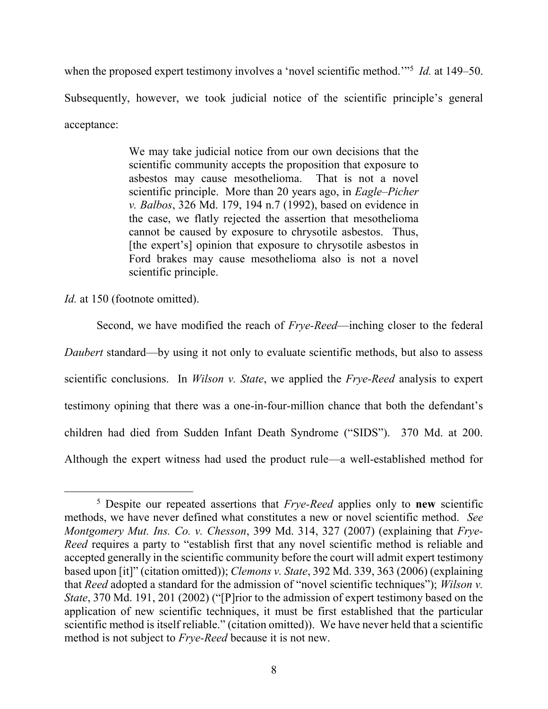when the proposed expert testimony involves a 'novel scientific method.'"<sup>5</sup> *Id.* at 149–50. Subsequently, however, we took judicial notice of the scientific principle's general acceptance:

> We may take judicial notice from our own decisions that the scientific community accepts the proposition that exposure to asbestos may cause mesothelioma. That is not a novel scientific principle. More than 20 years ago, in *Eagle–Picher v. Balbos*, 326 Md. 179, 194 n.7 (1992), based on evidence in the case, we flatly rejected the assertion that mesothelioma cannot be caused by exposure to chrysotile asbestos. Thus, [the expert's] opinion that exposure to chrysotile asbestos in Ford brakes may cause mesothelioma also is not a novel scientific principle.

*Id.* at 150 (footnote omitted).

 $\overline{a}$ 

Second, we have modified the reach of *Frye-Reed*—inching closer to the federal *Daubert* standard—by using it not only to evaluate scientific methods, but also to assess scientific conclusions. In *Wilson v. State*, we applied the *Frye-Reed* analysis to expert testimony opining that there was a one-in-four-million chance that both the defendant's children had died from Sudden Infant Death Syndrome ("SIDS"). 370 Md. at 200. Although the expert witness had used the product rule—a well-established method for

<sup>5</sup> Despite our repeated assertions that *Frye-Reed* applies only to **new** scientific methods, we have never defined what constitutes a new or novel scientific method. *See Montgomery Mut. Ins. Co. v. Chesson*, 399 Md. 314, 327 (2007) (explaining that *Frye-Reed* requires a party to "establish first that any novel scientific method is reliable and accepted generally in the scientific community before the court will admit expert testimony based upon [it]" (citation omitted)); *Clemons v. State*, 392 Md. 339, 363 (2006) (explaining that *Reed* adopted a standard for the admission of "novel scientific techniques"); *Wilson v. State*, 370 Md. 191, 201 (2002) ("[P]rior to the admission of expert testimony based on the application of new scientific techniques, it must be first established that the particular scientific method is itself reliable." (citation omitted)). We have never held that a scientific method is not subject to *Frye-Reed* because it is not new.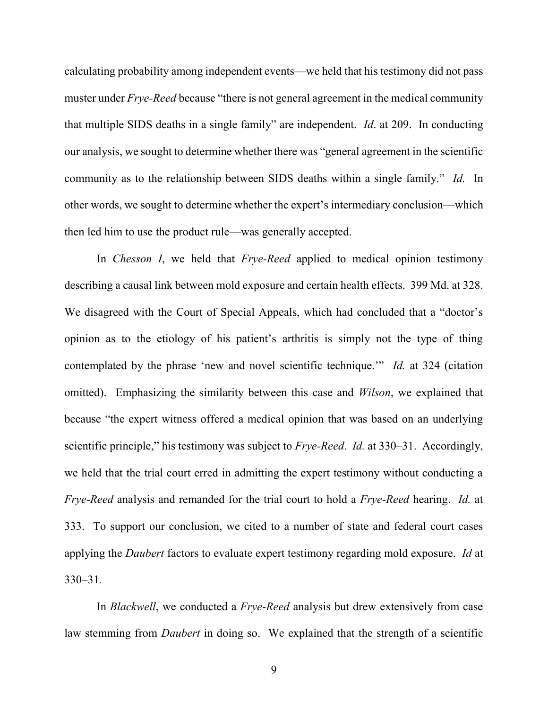calculating probability among independent events—we held that his testimony did not pass muster under *Frye-Reed* because "there is not general agreement in the medical community that multiple SIDS deaths in a single family" are independent. *Id*. at 209. In conducting our analysis, we sought to determine whether there was "general agreement in the scientific community as to the relationship between SIDS deaths within a single family." *Id.* In other words, we sought to determine whether the expert's intermediary conclusion—which then led him to use the product rule—was generally accepted.

In *Chesson I*, we held that *Frye-Reed* applied to medical opinion testimony describing a causal link between mold exposure and certain health effects. 399 Md. at 328. We disagreed with the Court of Special Appeals, which had concluded that a "doctor's opinion as to the etiology of his patient's arthritis is simply not the type of thing contemplated by the phrase 'new and novel scientific technique.'" *Id.* at 324 (citation omitted). Emphasizing the similarity between this case and *Wilson*, we explained that because "the expert witness offered a medical opinion that was based on an underlying scientific principle," his testimony was subject to *Frye-Reed*. *Id.* at 330–31. Accordingly, we held that the trial court erred in admitting the expert testimony without conducting a *Frye-Reed* analysis and remanded for the trial court to hold a *Frye-Reed* hearing. *Id.* at 333. To support our conclusion, we cited to a number of state and federal court cases applying the *Daubert* factors to evaluate expert testimony regarding mold exposure. *Id* at 330–31*.*

In *Blackwell*, we conducted a *Frye*-*Reed* analysis but drew extensively from case law stemming from *Daubert* in doing so. We explained that the strength of a scientific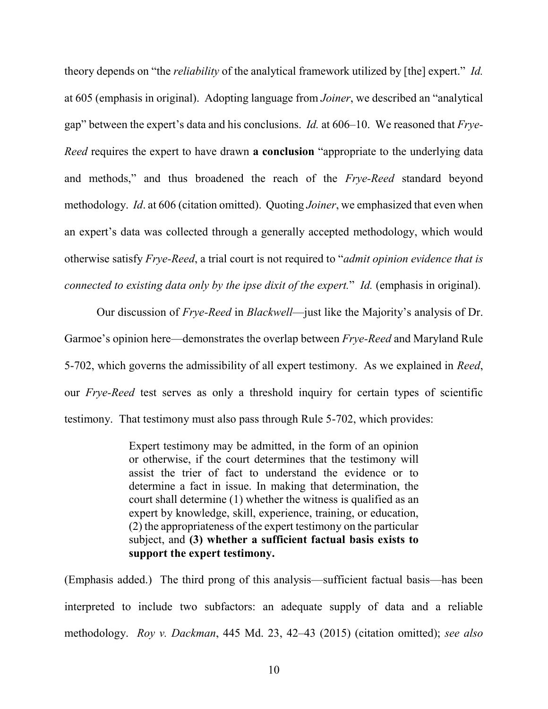theory depends on "the *reliability* of the analytical framework utilized by [the] expert." *Id.* at 605 (emphasis in original). Adopting language from *Joiner*, we described an "analytical gap" between the expert's data and his conclusions. *Id.* at 606–10. We reasoned that *Frye-Reed* requires the expert to have drawn **a conclusion** "appropriate to the underlying data and methods," and thus broadened the reach of the *Frye-Reed* standard beyond methodology. *Id*. at 606 (citation omitted). Quoting *Joiner*, we emphasized that even when an expert's data was collected through a generally accepted methodology, which would otherwise satisfy *Frye-Reed*, a trial court is not required to "*admit opinion evidence that is connected to existing data only by the ipse dixit of the expert.*" *Id.* (emphasis in original).

Our discussion of *Frye-Reed* in *Blackwell*—just like the Majority's analysis of Dr. Garmoe's opinion here—demonstrates the overlap between *Frye-Reed* and Maryland Rule 5-702, which governs the admissibility of all expert testimony. As we explained in *Reed*, our *Frye-Reed* test serves as only a threshold inquiry for certain types of scientific testimony. That testimony must also pass through Rule 5-702, which provides:

> Expert testimony may be admitted, in the form of an opinion or otherwise, if the court determines that the testimony will assist the trier of fact to understand the evidence or to determine a fact in issue. In making that determination, the court shall determine (1) whether the witness is qualified as an expert by knowledge, skill, experience, training, or education, (2) the appropriateness of the expert testimony on the particular subject, and **(3) whether a sufficient factual basis exists to support the expert testimony.**

(Emphasis added.) The third prong of this analysis—sufficient factual basis—has been interpreted to include two subfactors: an adequate supply of data and a reliable methodology. *Roy v. Dackman*, 445 Md. 23, 42–43 (2015) (citation omitted); *see also*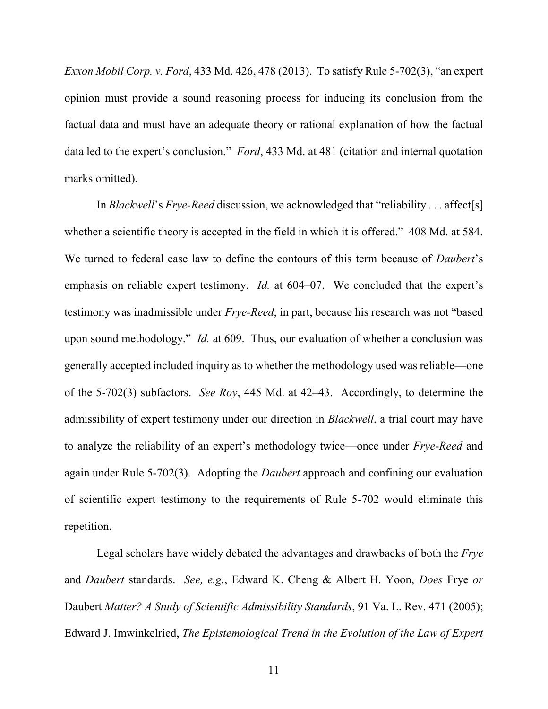*Exxon Mobil Corp. v. Ford*, 433 Md. 426, 478 (2013). To satisfy Rule 5-702(3), "an expert opinion must provide a sound reasoning process for inducing its conclusion from the factual data and must have an adequate theory or rational explanation of how the factual data led to the expert's conclusion." *Ford*, 433 Md. at 481 (citation and internal quotation marks omitted).

In *Blackwell*'s *Frye-Reed* discussion, we acknowledged that "reliability . . . affect[s] whether a scientific theory is accepted in the field in which it is offered." 408 Md. at 584. We turned to federal case law to define the contours of this term because of *Daubert*'s emphasis on reliable expert testimony. *Id.* at 604–07. We concluded that the expert's testimony was inadmissible under *Frye-Reed*, in part, because his research was not "based upon sound methodology." *Id.* at 609. Thus, our evaluation of whether a conclusion was generally accepted included inquiry as to whether the methodology used was reliable—one of the 5-702(3) subfactors. *See Roy*, 445 Md. at 42–43. Accordingly, to determine the admissibility of expert testimony under our direction in *Blackwell*, a trial court may have to analyze the reliability of an expert's methodology twice—once under *Frye*-*Reed* and again under Rule 5-702(3). Adopting the *Daubert* approach and confining our evaluation of scientific expert testimony to the requirements of Rule 5-702 would eliminate this repetition.

Legal scholars have widely debated the advantages and drawbacks of both the *Frye* and *Daubert* standards. *See, e.g.*, Edward K. Cheng & Albert H. Yoon, *Does* Frye *or*  Daubert *Matter? A Study of Scientific Admissibility Standards*, 91 Va. L. Rev. 471 (2005); Edward J. Imwinkelried, *The Epistemological Trend in the Evolution of the Law of Expert*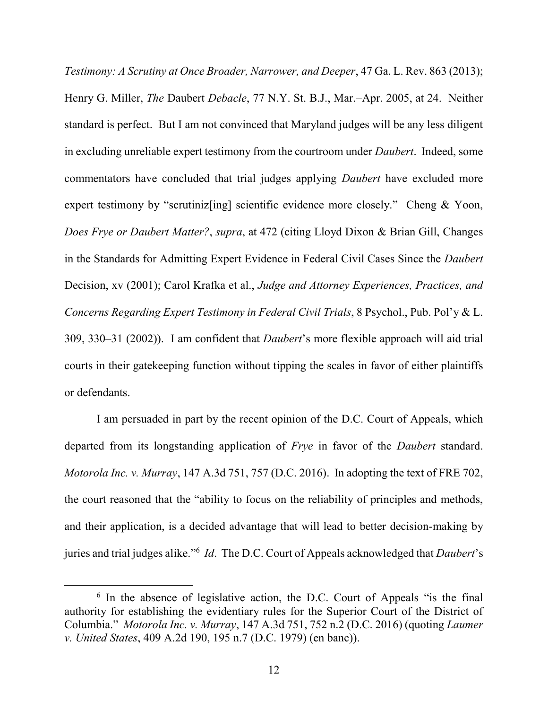*Testimony: A Scrutiny at Once Broader, Narrower, and Deeper*, 47 Ga. L. Rev. 863 (2013); Henry G. Miller, *The* Daubert *Debacle*, 77 N.Y. St. B.J., Mar.–Apr. 2005, at 24. Neither standard is perfect. But I am not convinced that Maryland judges will be any less diligent in excluding unreliable expert testimony from the courtroom under *Daubert*. Indeed, some commentators have concluded that trial judges applying *Daubert* have excluded more expert testimony by "scrutinizently" contributions of evidence more closely." Cheng & Yoon, *Does Frye or Daubert Matter?*, *supra*, at 472 (citing Lloyd Dixon & Brian Gill, Changes in the Standards for Admitting Expert Evidence in Federal Civil Cases Since the *Daubert* Decision, xv (2001); Carol Krafka et al., *Judge and Attorney Experiences, Practices, and Concerns Regarding Expert Testimony in Federal Civil Trials*, 8 Psychol., Pub. Pol'y & L. 309, 330–31 (2002)). I am confident that *Daubert*'s more flexible approach will aid trial courts in their gatekeeping function without tipping the scales in favor of either plaintiffs or defendants.

I am persuaded in part by the recent opinion of the D.C. Court of Appeals, which departed from its longstanding application of *Frye* in favor of the *Daubert* standard. *Motorola Inc. v. Murray*, 147 A.3d 751, 757 (D.C. 2016). In adopting the text of FRE 702, the court reasoned that the "ability to focus on the reliability of principles and methods, and their application, is a decided advantage that will lead to better decision-making by juries and trial judges alike."<sup>6</sup> *Id*. The D.C. Court of Appeals acknowledged that *Daubert*'s

<sup>&</sup>lt;sup>6</sup> In the absence of legislative action, the D.C. Court of Appeals "is the final authority for establishing the evidentiary rules for the Superior Court of the District of Columbia." *Motorola Inc. v. Murray*, 147 A.3d 751, 752 n.2 (D.C. 2016) (quoting *Laumer v. United States*, 409 A.2d 190, 195 n.7 (D.C. 1979) (en banc)).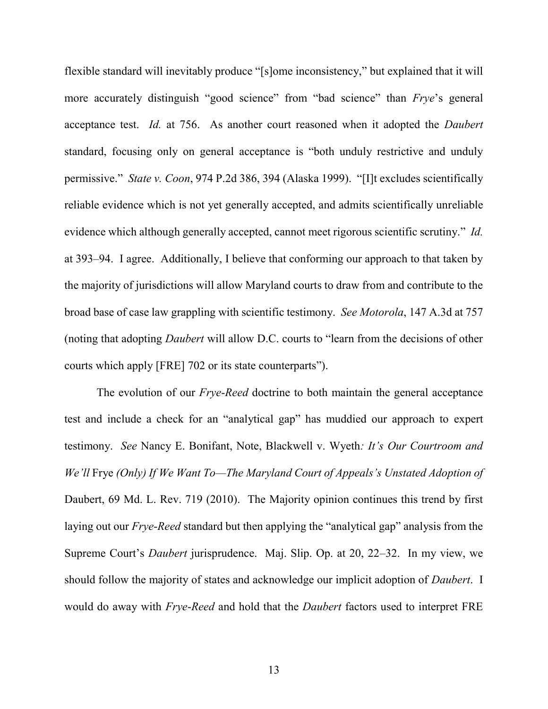flexible standard will inevitably produce "[s]ome inconsistency," but explained that it will more accurately distinguish "good science" from "bad science" than *Frye*'s general acceptance test. *Id.* at 756. As another court reasoned when it adopted the *Daubert* standard, focusing only on general acceptance is "both unduly restrictive and unduly permissive." *State v. Coon*, 974 P.2d 386, 394 (Alaska 1999). "[I]t excludes scientifically reliable evidence which is not yet generally accepted, and admits scientifically unreliable evidence which although generally accepted, cannot meet rigorous scientific scrutiny." *Id.* at 393–94. I agree. Additionally, I believe that conforming our approach to that taken by the majority of jurisdictions will allow Maryland courts to draw from and contribute to the broad base of case law grappling with scientific testimony. *See Motorola*, 147 A.3d at 757 (noting that adopting *Daubert* will allow D.C. courts to "learn from the decisions of other courts which apply [FRE] 702 or its state counterparts").

The evolution of our *Frye*-*Reed* doctrine to both maintain the general acceptance test and include a check for an "analytical gap" has muddied our approach to expert testimony. *See* Nancy E. Bonifant, Note, Blackwell v. Wyeth*: It's Our Courtroom and We'll* Frye *(Only) If We Want To—The Maryland Court of Appeals's Unstated Adoption of*  Daubert, 69 Md. L. Rev. 719 (2010). The Majority opinion continues this trend by first laying out our *Frye*-*Reed* standard but then applying the "analytical gap" analysis from the Supreme Court's *Daubert* jurisprudence. Maj. Slip. Op. at 20, 22–32. In my view, we should follow the majority of states and acknowledge our implicit adoption of *Daubert*. I would do away with *Frye*-*Reed* and hold that the *Daubert* factors used to interpret FRE